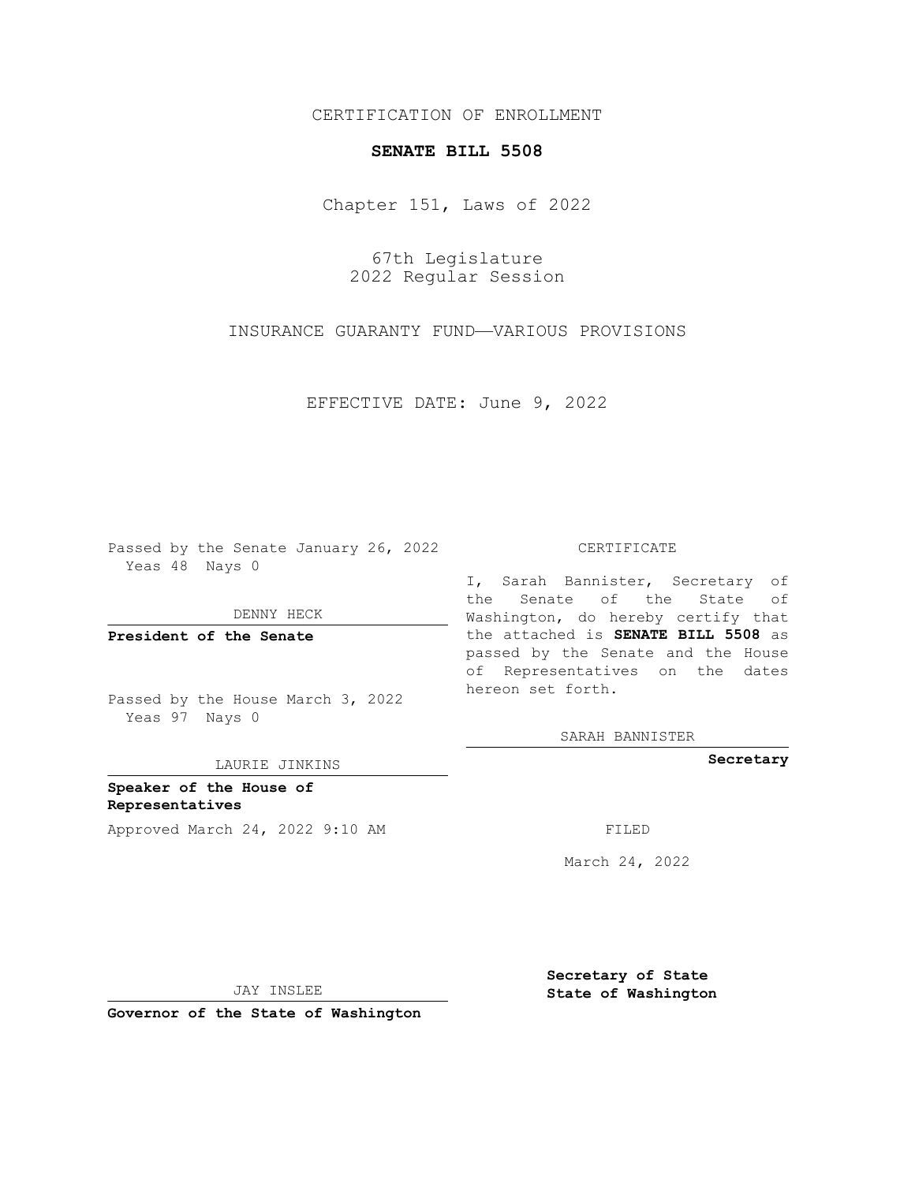## CERTIFICATION OF ENROLLMENT

## **SENATE BILL 5508**

Chapter 151, Laws of 2022

67th Legislature 2022 Regular Session

INSURANCE GUARANTY FUND—VARIOUS PROVISIONS

EFFECTIVE DATE: June 9, 2022

Passed by the Senate January 26, 2022 Yeas 48 Nays 0

DENNY HECK

**President of the Senate**

Passed by the House March 3, 2022 Yeas 97 Nays 0

LAURIE JINKINS

**Speaker of the House of Representatives** Approved March 24, 2022 9:10 AM FILED

## CERTIFICATE

I, Sarah Bannister, Secretary of the Senate of the State of Washington, do hereby certify that the attached is **SENATE BILL 5508** as passed by the Senate and the House of Representatives on the dates hereon set forth.

SARAH BANNISTER

**Secretary**

March 24, 2022

JAY INSLEE

**Governor of the State of Washington**

**Secretary of State State of Washington**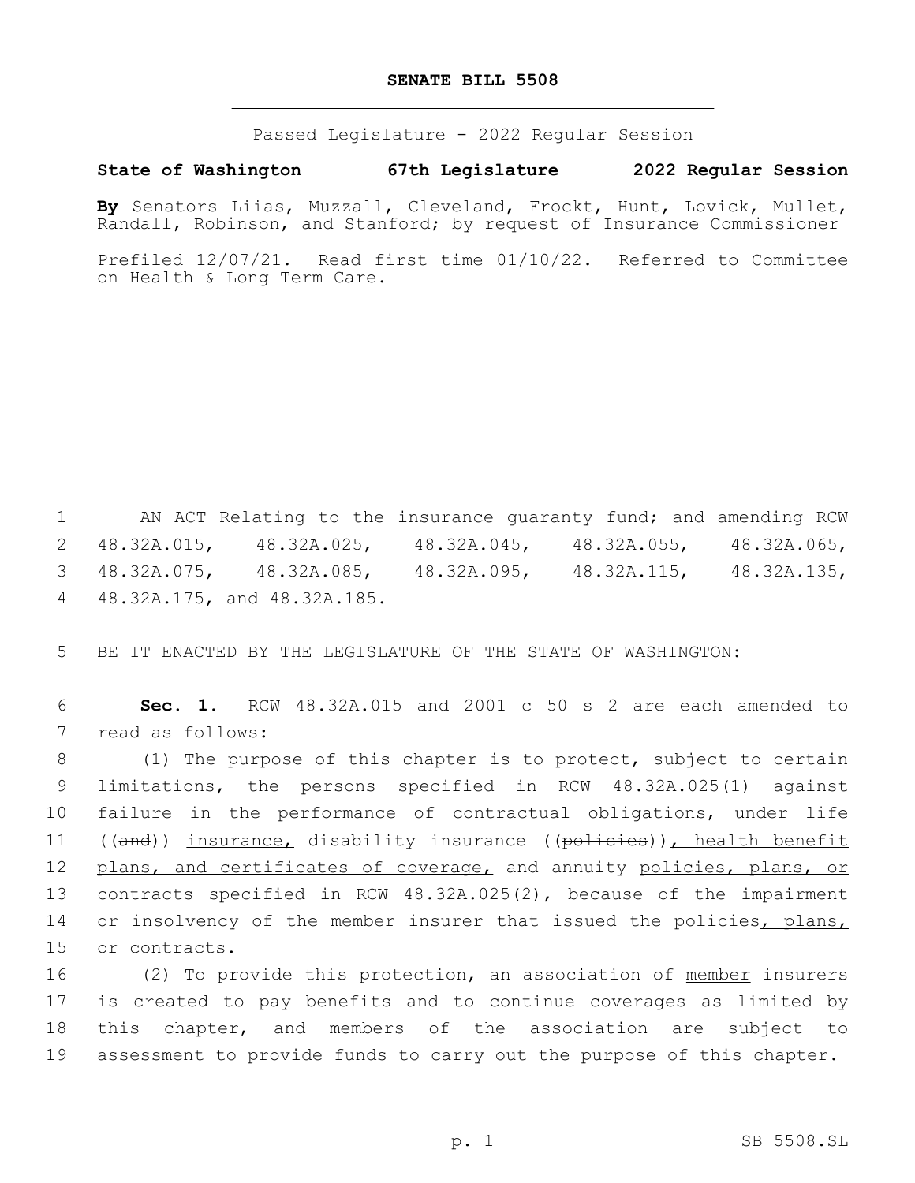## **SENATE BILL 5508**

Passed Legislature - 2022 Regular Session

**State of Washington 67th Legislature 2022 Regular Session**

**By** Senators Liias, Muzzall, Cleveland, Frockt, Hunt, Lovick, Mullet, Randall, Robinson, and Stanford; by request of Insurance Commissioner

Prefiled 12/07/21. Read first time 01/10/22. Referred to Committee on Health & Long Term Care.

 AN ACT Relating to the insurance guaranty fund; and amending RCW 48.32A.015, 48.32A.025, 48.32A.045, 48.32A.055, 48.32A.065, 48.32A.075, 48.32A.085, 48.32A.095, 48.32A.115, 48.32A.135, 48.32A.175, and 48.32A.185.4

5 BE IT ENACTED BY THE LEGISLATURE OF THE STATE OF WASHINGTON:

6 **Sec. 1.** RCW 48.32A.015 and 2001 c 50 s 2 are each amended to 7 read as follows:

8 (1) The purpose of this chapter is to protect, subject to certain 9 limitations, the persons specified in RCW 48.32A.025(1) against 10 failure in the performance of contractual obligations, under life 11 ((and)) insurance, disability insurance ((policies)), health benefit 12 plans, and certificates of coverage, and annuity policies, plans, or 13 contracts specified in RCW 48.32A.025(2), because of the impairment 14 or insolvency of the member insurer that issued the policies, plans, 15 or contracts.

16 (2) To provide this protection, an association of member insurers is created to pay benefits and to continue coverages as limited by this chapter, and members of the association are subject to assessment to provide funds to carry out the purpose of this chapter.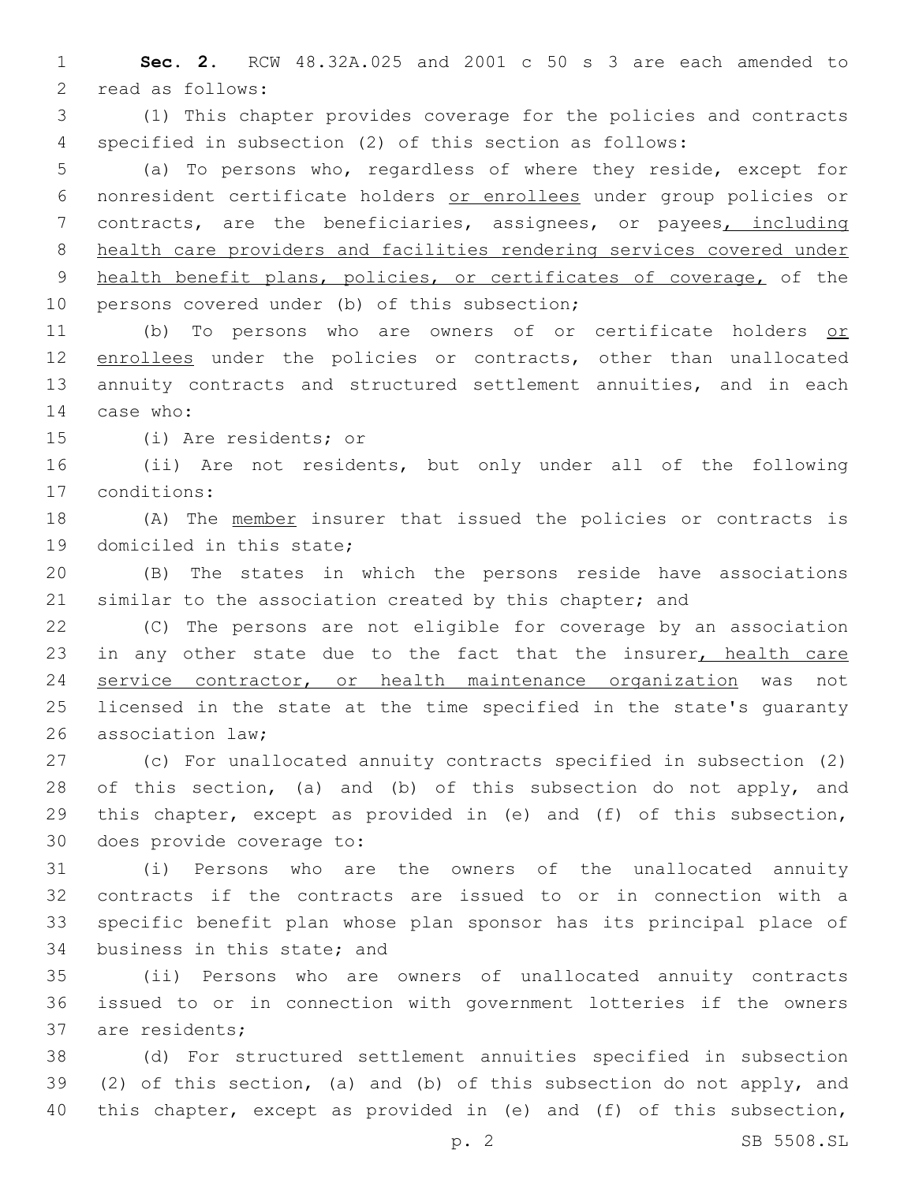**Sec. 2.** RCW 48.32A.025 and 2001 c 50 s 3 are each amended to 2 read as follows:

 (1) This chapter provides coverage for the policies and contracts specified in subsection (2) of this section as follows:

 (a) To persons who, regardless of where they reside, except for nonresident certificate holders or enrollees under group policies or contracts, are the beneficiaries, assignees, or payees, including health care providers and facilities rendering services covered under health benefit plans, policies, or certificates of coverage, of the 10 persons covered under (b) of this subsection;

11 (b) To persons who are owners of or certificate holders or 12 enrollees under the policies or contracts, other than unallocated annuity contracts and structured settlement annuities, and in each 14 case who:

15 (i) Are residents; or

 (ii) Are not residents, but only under all of the following conditions:17

 (A) The member insurer that issued the policies or contracts is 19 domiciled in this state;

 (B) The states in which the persons reside have associations 21 similar to the association created by this chapter; and

 (C) The persons are not eligible for coverage by an association 23 in any other state due to the fact that the insurer, health care service contractor, or health maintenance organization was not licensed in the state at the time specified in the state's guaranty 26 association law:

 (c) For unallocated annuity contracts specified in subsection (2) 28 of this section, (a) and (b) of this subsection do not apply, and this chapter, except as provided in (e) and (f) of this subsection, 30 does provide coverage to:

 (i) Persons who are the owners of the unallocated annuity contracts if the contracts are issued to or in connection with a specific benefit plan whose plan sponsor has its principal place of 34 business in this state; and

 (ii) Persons who are owners of unallocated annuity contracts issued to or in connection with government lotteries if the owners 37 are residents;

 (d) For structured settlement annuities specified in subsection (2) of this section, (a) and (b) of this subsection do not apply, and this chapter, except as provided in (e) and (f) of this subsection,

p. 2 SB 5508.SL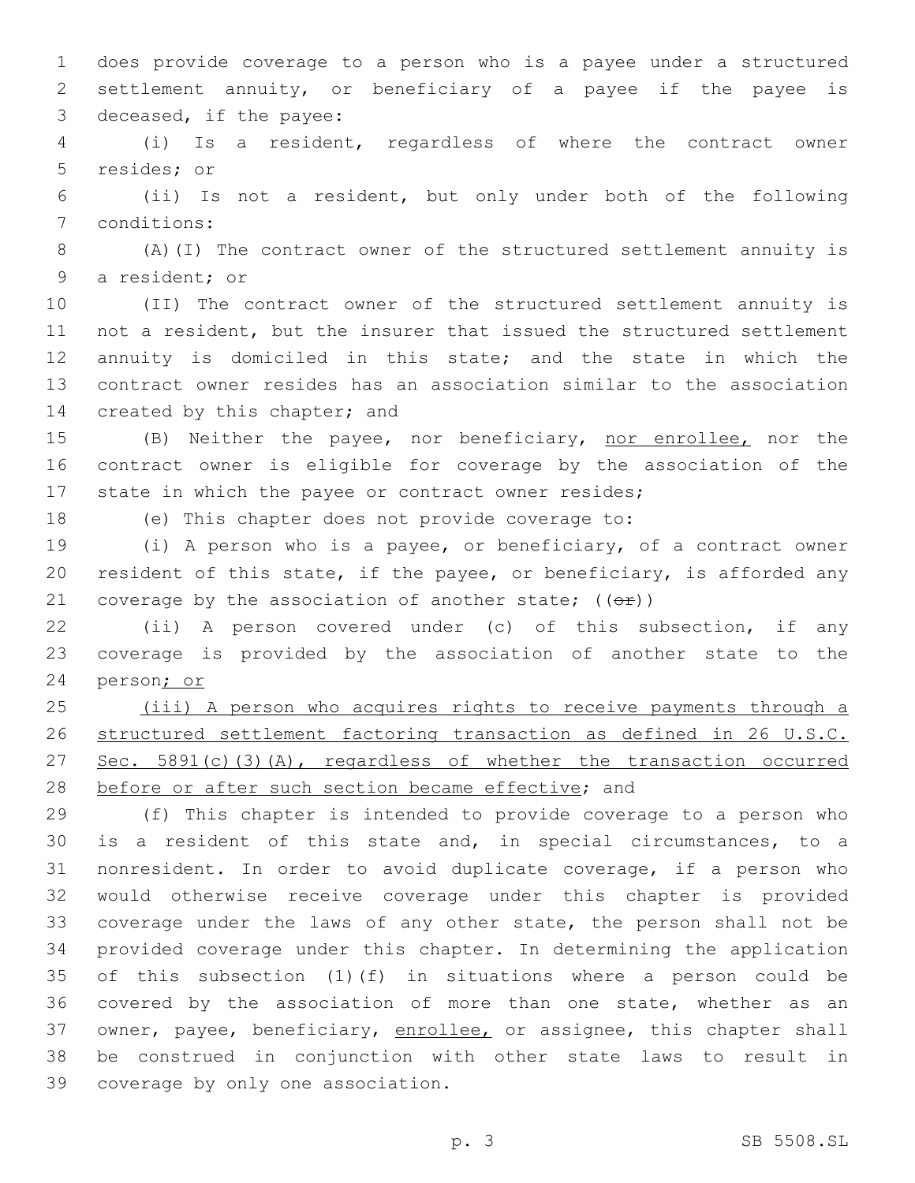does provide coverage to a person who is a payee under a structured settlement annuity, or beneficiary of a payee if the payee is 3 deceased, if the payee:

 (i) Is a resident, regardless of where the contract owner 5 resides; or

 (ii) Is not a resident, but only under both of the following 7 conditions:

 (A)(I) The contract owner of the structured settlement annuity is 9 a resident; or

 (II) The contract owner of the structured settlement annuity is not a resident, but the insurer that issued the structured settlement annuity is domiciled in this state; and the state in which the contract owner resides has an association similar to the association 14 created by this chapter; and

 (B) Neither the payee, nor beneficiary, nor enrollee, nor the contract owner is eligible for coverage by the association of the state in which the payee or contract owner resides;

(e) This chapter does not provide coverage to:

 (i) A person who is a payee, or beneficiary, of a contract owner resident of this state, if the payee, or beneficiary, is afforded any 21 coverage by the association of another state;  $((e^x))$ 

 (ii) A person covered under (c) of this subsection, if any coverage is provided by the association of another state to the person; or

 (iii) A person who acquires rights to receive payments through a structured settlement factoring transaction as defined in 26 U.S.C. 27 Sec. 5891(c)(3)(A), regardless of whether the transaction occurred 28 before or after such section became effective; and

 (f) This chapter is intended to provide coverage to a person who is a resident of this state and, in special circumstances, to a nonresident. In order to avoid duplicate coverage, if a person who would otherwise receive coverage under this chapter is provided coverage under the laws of any other state, the person shall not be provided coverage under this chapter. In determining the application of this subsection (1)(f) in situations where a person could be covered by the association of more than one state, whether as an 37 owner, payee, beneficiary, enrollee, or assignee, this chapter shall be construed in conjunction with other state laws to result in 39 coverage by only one association.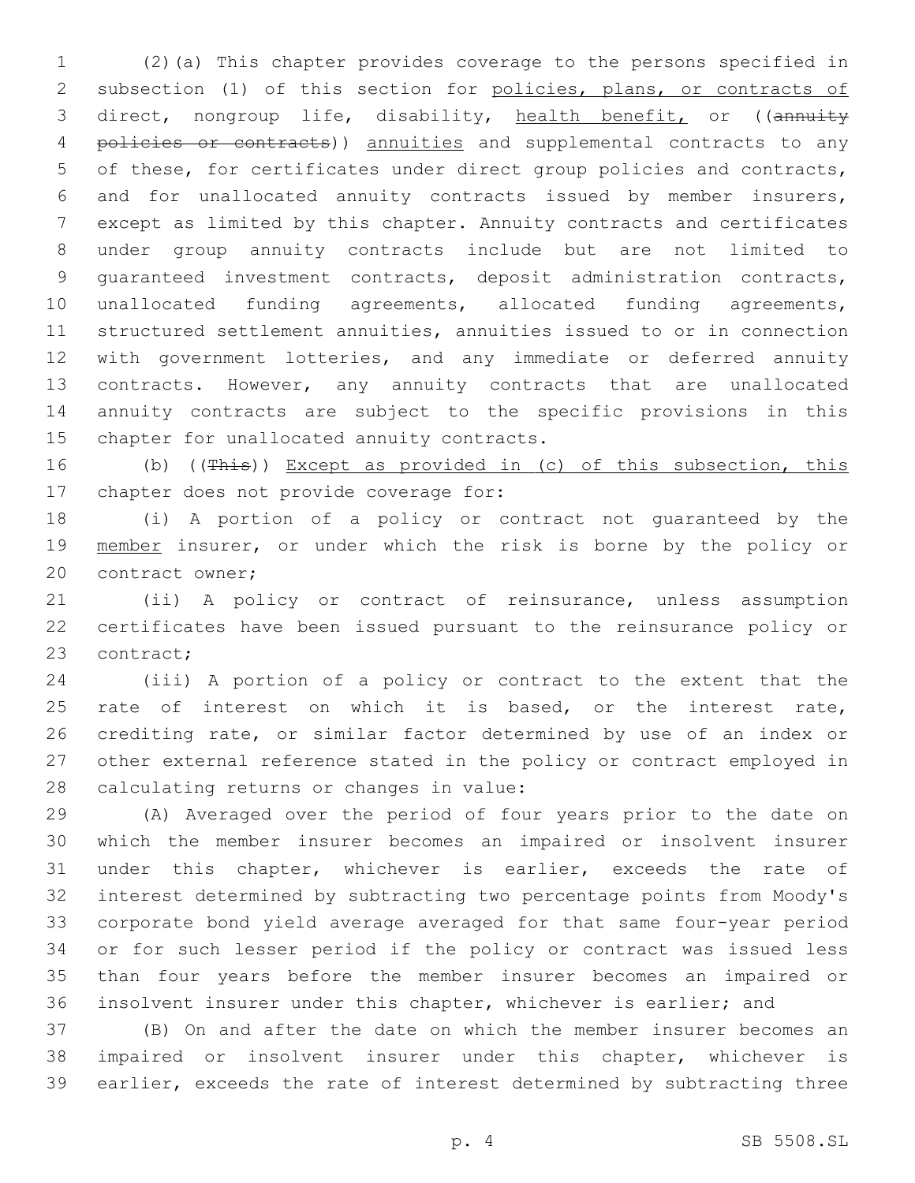(2)(a) This chapter provides coverage to the persons specified in subsection (1) of this section for policies, plans, or contracts of 3 direct, nongroup life, disability, health benefit, or ((annuity 4 policies or contracts)) annuities and supplemental contracts to any of these, for certificates under direct group policies and contracts, and for unallocated annuity contracts issued by member insurers, except as limited by this chapter. Annuity contracts and certificates under group annuity contracts include but are not limited to guaranteed investment contracts, deposit administration contracts, unallocated funding agreements, allocated funding agreements, structured settlement annuities, annuities issued to or in connection with government lotteries, and any immediate or deferred annuity contracts. However, any annuity contracts that are unallocated annuity contracts are subject to the specific provisions in this 15 chapter for unallocated annuity contracts.

16 (b) ((This)) Except as provided in (c) of this subsection, this 17 chapter does not provide coverage for:

 (i) A portion of a policy or contract not guaranteed by the 19 member insurer, or under which the risk is borne by the policy or 20 contract owner;

 (ii) A policy or contract of reinsurance, unless assumption certificates have been issued pursuant to the reinsurance policy or 23 contract;

 (iii) A portion of a policy or contract to the extent that the 25 rate of interest on which it is based, or the interest rate, crediting rate, or similar factor determined by use of an index or other external reference stated in the policy or contract employed in 28 calculating returns or changes in value:

 (A) Averaged over the period of four years prior to the date on which the member insurer becomes an impaired or insolvent insurer under this chapter, whichever is earlier, exceeds the rate of interest determined by subtracting two percentage points from Moody's corporate bond yield average averaged for that same four-year period or for such lesser period if the policy or contract was issued less than four years before the member insurer becomes an impaired or insolvent insurer under this chapter, whichever is earlier; and

 (B) On and after the date on which the member insurer becomes an impaired or insolvent insurer under this chapter, whichever is earlier, exceeds the rate of interest determined by subtracting three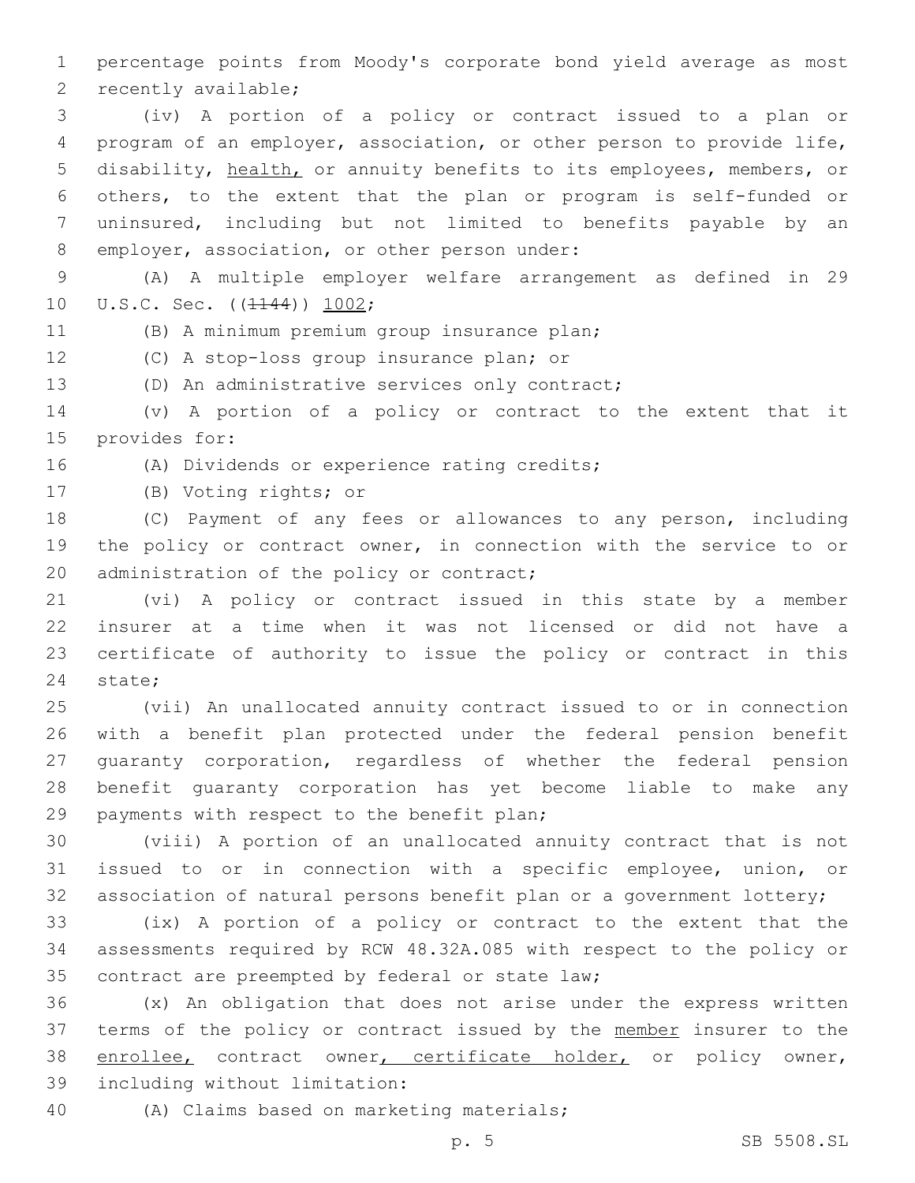1 percentage points from Moody's corporate bond yield average as most 2 recently available;

 (iv) A portion of a policy or contract issued to a plan or program of an employer, association, or other person to provide life, disability, health, or annuity benefits to its employees, members, or others, to the extent that the plan or program is self-funded or uninsured, including but not limited to benefits payable by an 8 employer, association, or other person under:

9 (A) A multiple employer welfare arrangement as defined in 29 10 U.S.C. Sec. ((1144)) 1002;

(B) A minimum premium group insurance plan;

12 (C) A stop-loss group insurance plan; or

13 (D) An administrative services only contract;

14 (v) A portion of a policy or contract to the extent that it 15 provides for:

16 (A) Dividends or experience rating credits;

17 (B) Voting rights; or

18 (C) Payment of any fees or allowances to any person, including 19 the policy or contract owner, in connection with the service to or 20 administration of the policy or contract;

 (vi) A policy or contract issued in this state by a member insurer at a time when it was not licensed or did not have a certificate of authority to issue the policy or contract in this 24 state;

 (vii) An unallocated annuity contract issued to or in connection with a benefit plan protected under the federal pension benefit guaranty corporation, regardless of whether the federal pension benefit guaranty corporation has yet become liable to make any 29 payments with respect to the benefit plan;

30 (viii) A portion of an unallocated annuity contract that is not 31 issued to or in connection with a specific employee, union, or 32 association of natural persons benefit plan or a government lottery;

33 (ix) A portion of a policy or contract to the extent that the 34 assessments required by RCW 48.32A.085 with respect to the policy or 35 contract are preempted by federal or state law;

36 (x) An obligation that does not arise under the express written 37 terms of the policy or contract issued by the member insurer to the 38 enrollee, contract owner, certificate holder, or policy owner, 39 including without limitation:

40 (A) Claims based on marketing materials;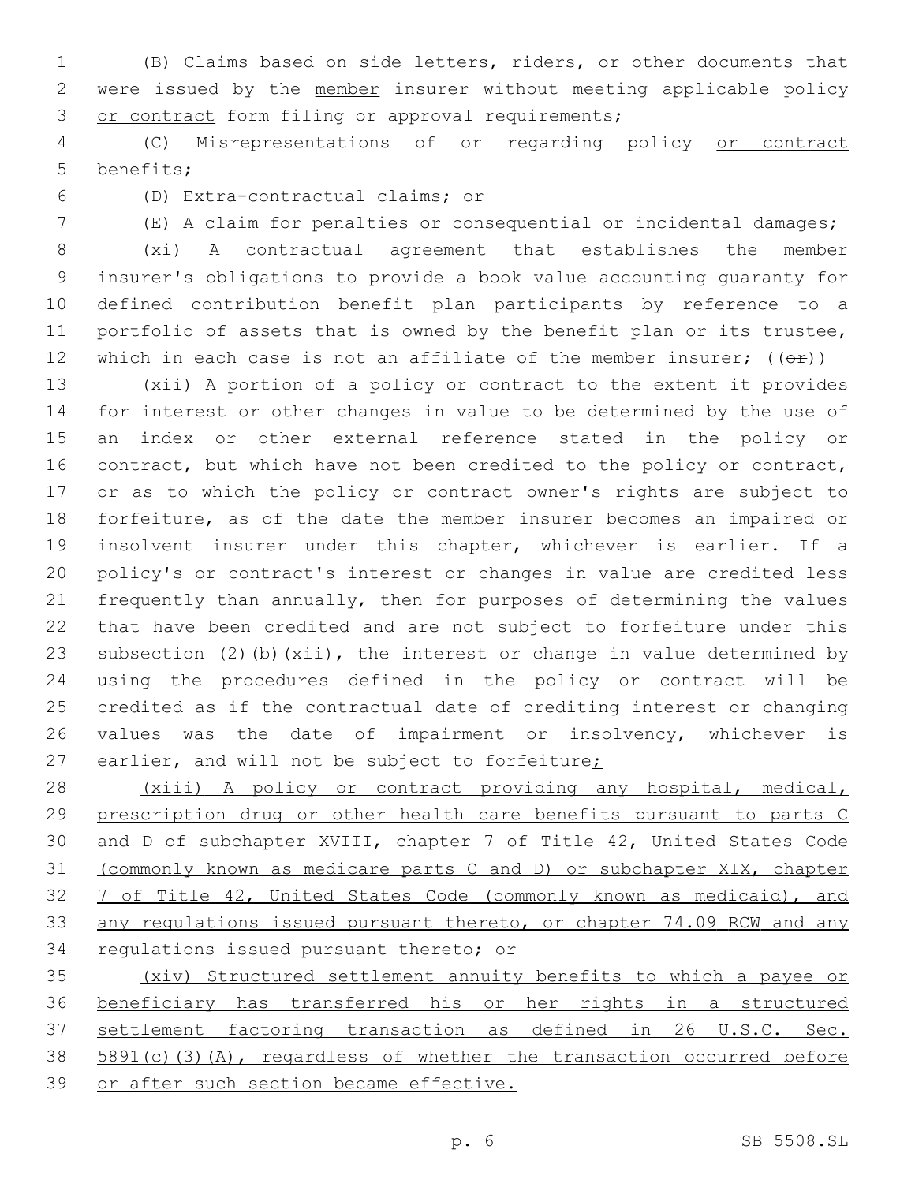(B) Claims based on side letters, riders, or other documents that 2 were issued by the member insurer without meeting applicable policy 3 or contract form filing or approval requirements;

 (C) Misrepresentations of or regarding policy or contract 5 benefits;

(D) Extra-contractual claims; or6

(E) A claim for penalties or consequential or incidental damages;

 (xi) A contractual agreement that establishes the member insurer's obligations to provide a book value accounting guaranty for defined contribution benefit plan participants by reference to a portfolio of assets that is owned by the benefit plan or its trustee, 12 which in each case is not an affiliate of the member insurer;  $((\theta \hat{r}))$ 

 (xii) A portion of a policy or contract to the extent it provides for interest or other changes in value to be determined by the use of an index or other external reference stated in the policy or 16 contract, but which have not been credited to the policy or contract, or as to which the policy or contract owner's rights are subject to forfeiture, as of the date the member insurer becomes an impaired or insolvent insurer under this chapter, whichever is earlier. If a policy's or contract's interest or changes in value are credited less frequently than annually, then for purposes of determining the values that have been credited and are not subject to forfeiture under this subsection (2)(b)(xii), the interest or change in value determined by using the procedures defined in the policy or contract will be credited as if the contractual date of crediting interest or changing values was the date of impairment or insolvency, whichever is 27 earlier, and will not be subject to forfeiture;

 (xiii) A policy or contract providing any hospital, medical, prescription drug or other health care benefits pursuant to parts C 30 and D of subchapter XVIII, chapter 7 of Title 42, United States Code (commonly known as medicare parts C and D) or subchapter XIX, chapter 7 of Title 42, United States Code (commonly known as medicaid), and any regulations issued pursuant thereto, or chapter 74.09 RCW and any regulations issued pursuant thereto; or

 (xiv) Structured settlement annuity benefits to which a payee or beneficiary has transferred his or her rights in a structured settlement factoring transaction as defined in 26 U.S.C. Sec. 5891(c)(3)(A), regardless of whether the transaction occurred before or after such section became effective.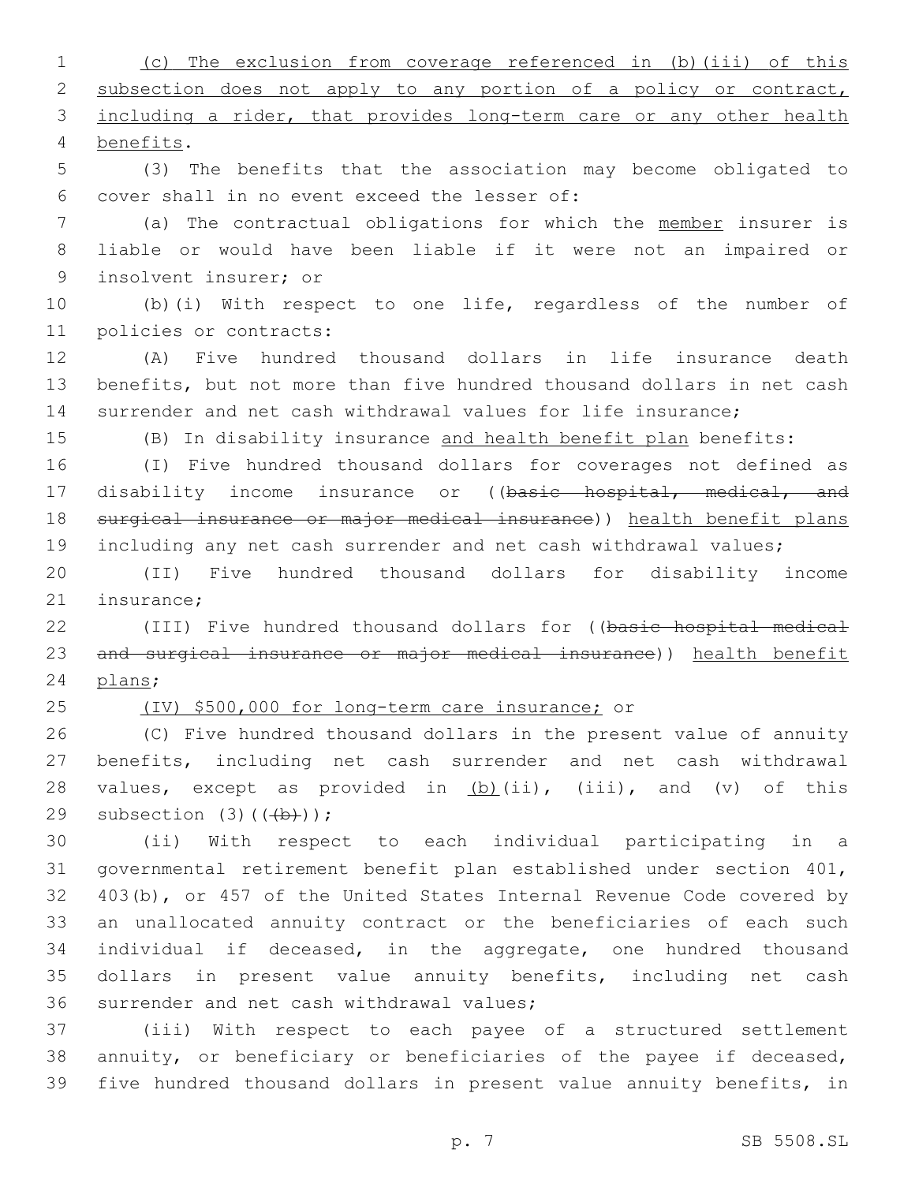(c) The exclusion from coverage referenced in (b)(iii) of this 2 subsection does not apply to any portion of a policy or contract, 3 including a rider, that provides long-term care or any other health benefits.4

 (3) The benefits that the association may become obligated to 6 cover shall in no event exceed the lesser of:

 (a) The contractual obligations for which the member insurer is liable or would have been liable if it were not an impaired or 9 insolvent insurer; or

 (b)(i) With respect to one life, regardless of the number of 11 policies or contracts:

 (A) Five hundred thousand dollars in life insurance death benefits, but not more than five hundred thousand dollars in net cash surrender and net cash withdrawal values for life insurance;

(B) In disability insurance and health benefit plan benefits:

 (I) Five hundred thousand dollars for coverages not defined as 17 disability income insurance or ((basic hospital, medical, and surgical insurance or major medical insurance)) health benefit plans including any net cash surrender and net cash withdrawal values;

 (II) Five hundred thousand dollars for disability income 21 insurance:

 (III) Five hundred thousand dollars for ((basic hospital medical and surgical insurance or major medical insurance)) health benefit 24 plans;

(IV) \$500,000 for long-term care insurance; or

 (C) Five hundred thousand dollars in the present value of annuity benefits, including net cash surrender and net cash withdrawal 28 values, except as provided in (b)(ii), (iii), and (v) of this 29 subsection  $(3)$   $((+b))$ ;

 (ii) With respect to each individual participating in a governmental retirement benefit plan established under section 401, 403(b), or 457 of the United States Internal Revenue Code covered by an unallocated annuity contract or the beneficiaries of each such individual if deceased, in the aggregate, one hundred thousand dollars in present value annuity benefits, including net cash 36 surrender and net cash withdrawal values;

 (iii) With respect to each payee of a structured settlement annuity, or beneficiary or beneficiaries of the payee if deceased, five hundred thousand dollars in present value annuity benefits, in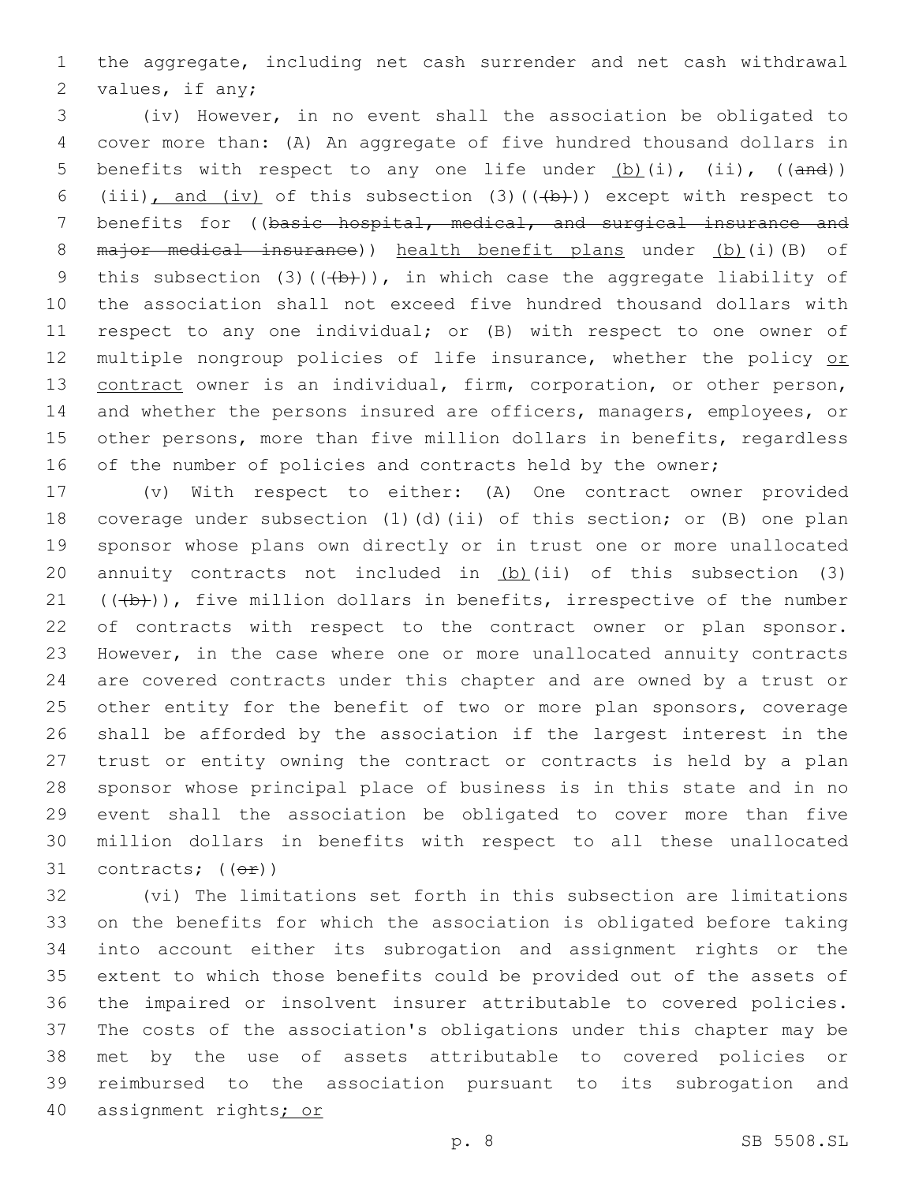the aggregate, including net cash surrender and net cash withdrawal 2 values, if any;

 (iv) However, in no event shall the association be obligated to cover more than: (A) An aggregate of five hundred thousand dollars in 5 benefits with respect to any one life under  $(b)$  (i), (ii), ((and)) 6 (iii), and (iv) of this subsection (3)( $(\overline{+b})$ ) except with respect to 7 benefits for ((basic hospital, medical, and surgical insurance and 8 major medical insurance)) health benefit plans under (b)(i)(B) of 9 this subsection (3)( $(\frac{1}{b})$ ), in which case the aggregate liability of the association shall not exceed five hundred thousand dollars with respect to any one individual; or (B) with respect to one owner of 12 multiple nongroup policies of life insurance, whether the policy or contract owner is an individual, firm, corporation, or other person, and whether the persons insured are officers, managers, employees, or other persons, more than five million dollars in benefits, regardless 16 of the number of policies and contracts held by the owner;

 (v) With respect to either: (A) One contract owner provided coverage under subsection (1)(d)(ii) of this section; or (B) one plan sponsor whose plans own directly or in trust one or more unallocated 20 annuity contracts not included in  $(b)$  (ii) of this subsection (3)  $((+b))$ , five million dollars in benefits, irrespective of the number 22 of contracts with respect to the contract owner or plan sponsor. However, in the case where one or more unallocated annuity contracts are covered contracts under this chapter and are owned by a trust or 25 other entity for the benefit of two or more plan sponsors, coverage shall be afforded by the association if the largest interest in the trust or entity owning the contract or contracts is held by a plan sponsor whose principal place of business is in this state and in no event shall the association be obligated to cover more than five million dollars in benefits with respect to all these unallocated 31 contracts;  $((\theta \hat{r}))$ 

 (vi) The limitations set forth in this subsection are limitations on the benefits for which the association is obligated before taking into account either its subrogation and assignment rights or the extent to which those benefits could be provided out of the assets of the impaired or insolvent insurer attributable to covered policies. The costs of the association's obligations under this chapter may be met by the use of assets attributable to covered policies or reimbursed to the association pursuant to its subrogation and assignment rights; or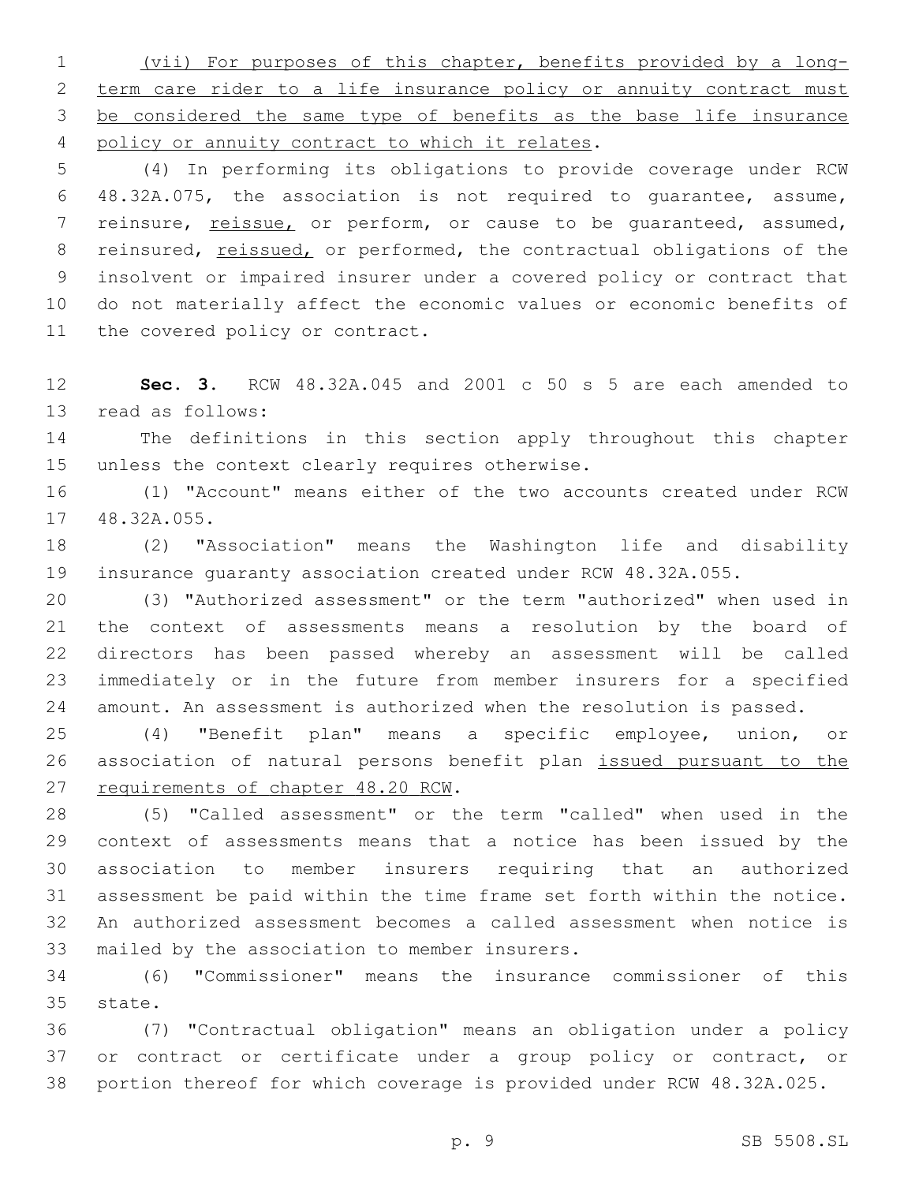(vii) For purposes of this chapter, benefits provided by a long-2 term care rider to a life insurance policy or annuity contract must be considered the same type of benefits as the base life insurance 4 policy or annuity contract to which it relates.

 (4) In performing its obligations to provide coverage under RCW 48.32A.075, the association is not required to guarantee, assume, reinsure, reissue, or perform, or cause to be guaranteed, assumed, 8 reinsured, reissued, or performed, the contractual obligations of the insolvent or impaired insurer under a covered policy or contract that do not materially affect the economic values or economic benefits of 11 the covered policy or contract.

 **Sec. 3.** RCW 48.32A.045 and 2001 c 50 s 5 are each amended to 13 read as follows:

 The definitions in this section apply throughout this chapter 15 unless the context clearly requires otherwise.

 (1) "Account" means either of the two accounts created under RCW 17 48.32A.055.

 (2) "Association" means the Washington life and disability insurance guaranty association created under RCW 48.32A.055.

 (3) "Authorized assessment" or the term "authorized" when used in the context of assessments means a resolution by the board of directors has been passed whereby an assessment will be called immediately or in the future from member insurers for a specified amount. An assessment is authorized when the resolution is passed.

 (4) "Benefit plan" means a specific employee, union, or association of natural persons benefit plan issued pursuant to the 27 requirements of chapter 48.20 RCW.

 (5) "Called assessment" or the term "called" when used in the context of assessments means that a notice has been issued by the association to member insurers requiring that an authorized assessment be paid within the time frame set forth within the notice. An authorized assessment becomes a called assessment when notice is 33 mailed by the association to member insurers.

 (6) "Commissioner" means the insurance commissioner of this 35 state.

 (7) "Contractual obligation" means an obligation under a policy or contract or certificate under a group policy or contract, or portion thereof for which coverage is provided under RCW 48.32A.025.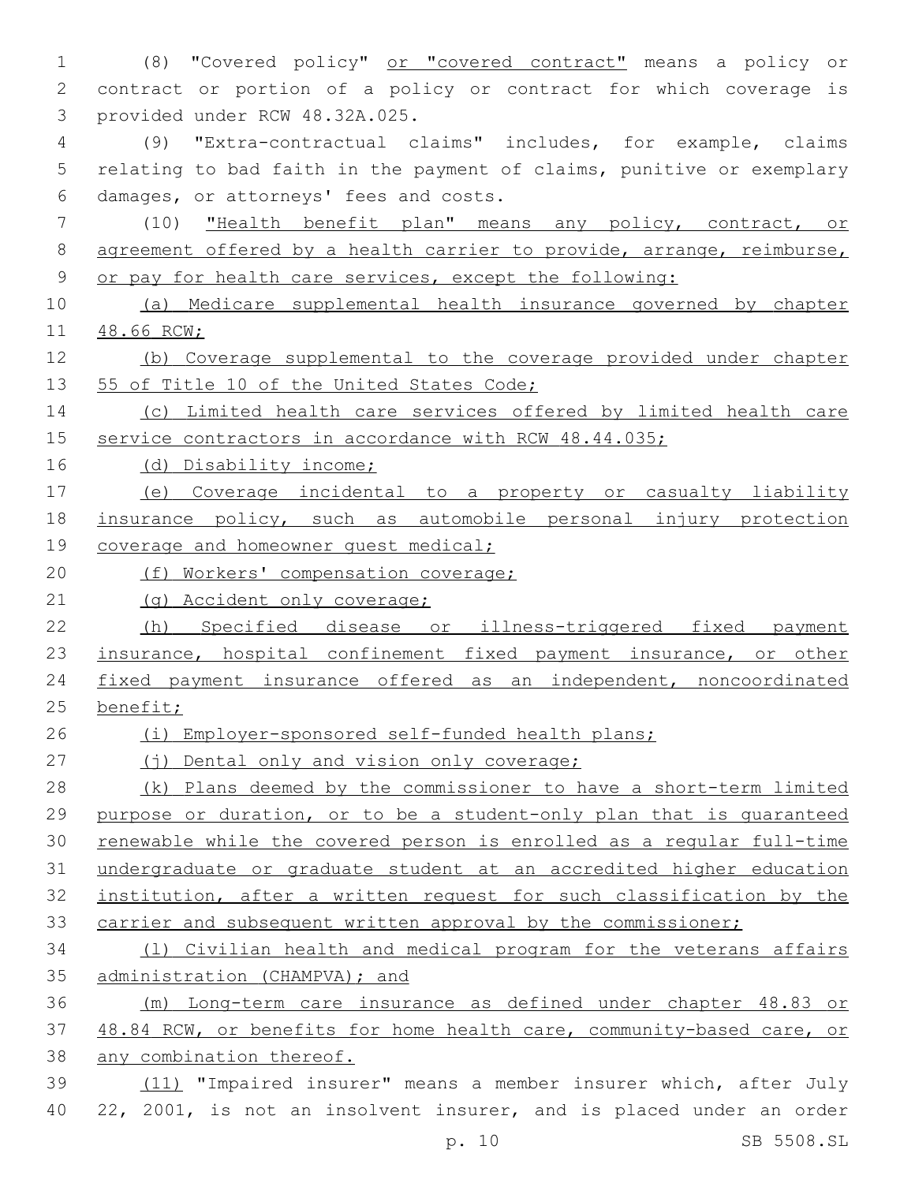(8) "Covered policy" or "covered contract" means a policy or contract or portion of a policy or contract for which coverage is 3 provided under RCW 48.32A.025. (9) "Extra-contractual claims" includes, for example, claims relating to bad faith in the payment of claims, punitive or exemplary damages, or attorneys' fees and costs.6 (10) "Health benefit plan" means any policy, contract, or 8 agreement offered by a health carrier to provide, arrange, reimburse, or pay for health care services, except the following: (a) Medicare supplemental health insurance governed by chapter 48.66 RCW; (b) Coverage supplemental to the coverage provided under chapter 13 55 of Title 10 of the United States Code; (c) Limited health care services offered by limited health care 15 service contractors in accordance with RCW 48.44.035; (d) Disability income; (e) Coverage incidental to a property or casualty liability insurance policy, such as automobile personal injury protection 19 coverage and homeowner quest medical; 20 (f) Workers' compensation coverage; 21 (g) Accident only coverage; (h) Specified disease or illness-triggered fixed payment 23 insurance, hospital confinement fixed payment insurance, or other fixed payment insurance offered as an independent, noncoordinated benefit; (i) Employer-sponsored self-funded health plans; 27 (i) Dental only and vision only coverage; 28 (k) Plans deemed by the commissioner to have a short-term limited purpose or duration, or to be a student-only plan that is guaranteed renewable while the covered person is enrolled as a regular full-time undergraduate or graduate student at an accredited higher education institution, after a written request for such classification by the 33 carrier and subsequent written approval by the commissioner; (l) Civilian health and medical program for the veterans affairs administration (CHAMPVA); and (m) Long-term care insurance as defined under chapter 48.83 or 48.84 RCW, or benefits for home health care, community-based care, or any combination thereof. (11) "Impaired insurer" means a member insurer which, after July 22, 2001, is not an insolvent insurer, and is placed under an order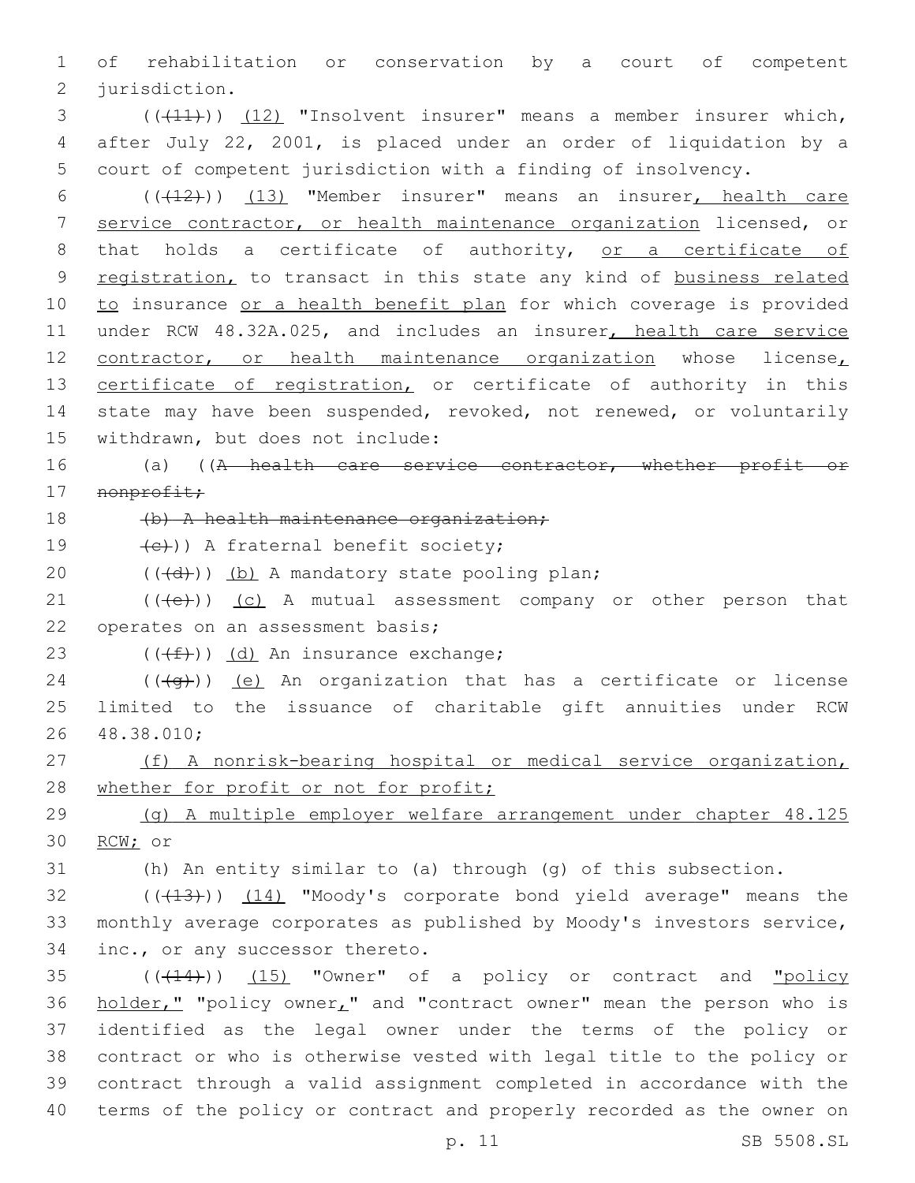1 of rehabilitation or conservation by a court of competent 2 jurisdiction.

3 (((41))) (12) "Insolvent insurer" means a member insurer which, 4 after July 22, 2001, is placed under an order of liquidation by a 5 court of competent jurisdiction with a finding of insolvency.

6 (((12)) (13) "Member insurer" means an insurer, health care 7 service contractor, or health maintenance organization licensed, or 8 that holds a certificate of authority, or a certificate of 9 registration, to transact in this state any kind of business related 10 to insurance or a health benefit plan for which coverage is provided 11 under RCW 48.32A.025, and includes an insurer, health care service 12 contractor, or health maintenance organization whose license, 13 certificate of registration, or certificate of authority in this 14 state may have been suspended, revoked, not renewed, or voluntarily 15 withdrawn, but does not include:

16 (a) ((A health care service contractor, whether profit or 17 nonprofit;

18 (b) A health maintenance organization;

19  $(e)$ )) A fraternal benefit society;

20  $((\{d\}) \times (b)$  A mandatory state pooling plan;

 $(1)$  (( $\left(\frac{1}{1}e\right)$ ) (c) A mutual assessment company or other person that 22 operates on an assessment basis;

23  $((f+))$   $(d)$  An insurance exchange;

24 ( $(\overline{q})$ ) <u>(e)</u> An organization that has a certificate or license 25 limited to the issuance of charitable gift annuities under RCW 48.38.010;26

27 (f) A nonrisk-bearing hospital or medical service organization, 28 whether for profit or not for profit;

29 (g) A multiple employer welfare arrangement under chapter 48.125 30 RCW; or

31 (h) An entity similar to (a) through (g) of this subsection.

32 (((413))) (14) "Moody's corporate bond yield average" means the 33 monthly average corporates as published by Moody's investors service, 34 inc., or any successor thereto.

 ( $(\overline{+14})$ )  $(15)$  "Owner" of a policy or contract and "policy 36 holder," "policy owner," and "contract owner" mean the person who is identified as the legal owner under the terms of the policy or contract or who is otherwise vested with legal title to the policy or contract through a valid assignment completed in accordance with the terms of the policy or contract and properly recorded as the owner on

p. 11 SB 5508.SL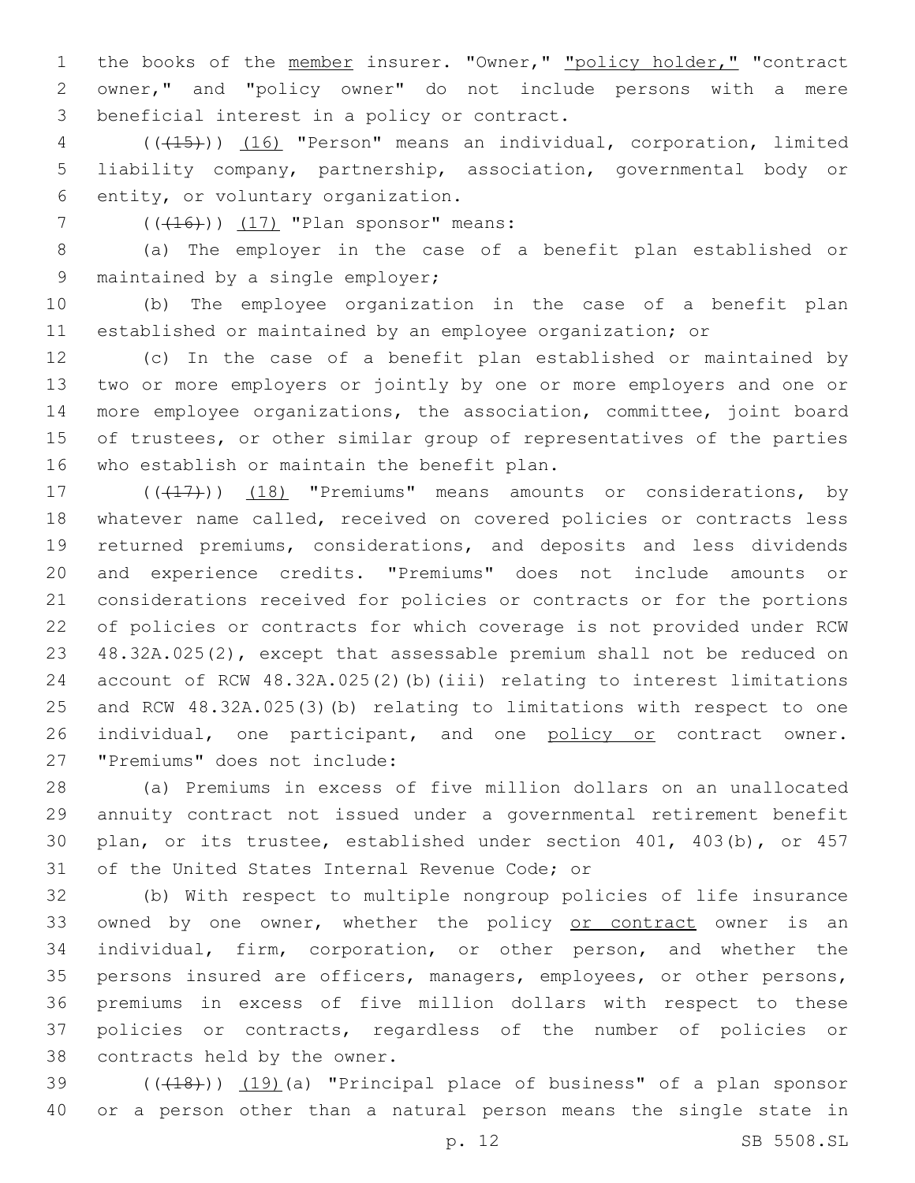1 the books of the member insurer. "Owner," "policy holder," "contract owner," and "policy owner" do not include persons with a mere 3 beneficial interest in a policy or contract.

 (((15))) (16) "Person" means an individual, corporation, limited liability company, partnership, association, governmental body or 6 entity, or voluntary organization.

7  $((416))$   $(17)$  "Plan sponsor" means:

 (a) The employer in the case of a benefit plan established or 9 maintained by a single employer;

 (b) The employee organization in the case of a benefit plan established or maintained by an employee organization; or

 (c) In the case of a benefit plan established or maintained by two or more employers or jointly by one or more employers and one or more employee organizations, the association, committee, joint board of trustees, or other similar group of representatives of the parties 16 who establish or maintain the benefit plan.

17 (((17))) (18) "Premiums" means amounts or considerations, by whatever name called, received on covered policies or contracts less returned premiums, considerations, and deposits and less dividends and experience credits. "Premiums" does not include amounts or considerations received for policies or contracts or for the portions of policies or contracts for which coverage is not provided under RCW 48.32A.025(2), except that assessable premium shall not be reduced on account of RCW 48.32A.025(2)(b)(iii) relating to interest limitations and RCW 48.32A.025(3)(b) relating to limitations with respect to one 26 individual, one participant, and one policy or contract owner. 27 "Premiums" does not include:

 (a) Premiums in excess of five million dollars on an unallocated annuity contract not issued under a governmental retirement benefit plan, or its trustee, established under section 401, 403(b), or 457 31 of the United States Internal Revenue Code; or

 (b) With respect to multiple nongroup policies of life insurance 33 owned by one owner, whether the policy or contract owner is an individual, firm, corporation, or other person, and whether the persons insured are officers, managers, employees, or other persons, premiums in excess of five million dollars with respect to these policies or contracts, regardless of the number of policies or 38 contracts held by the owner.

39 (((418))) (19)(a) "Principal place of business" of a plan sponsor or a person other than a natural person means the single state in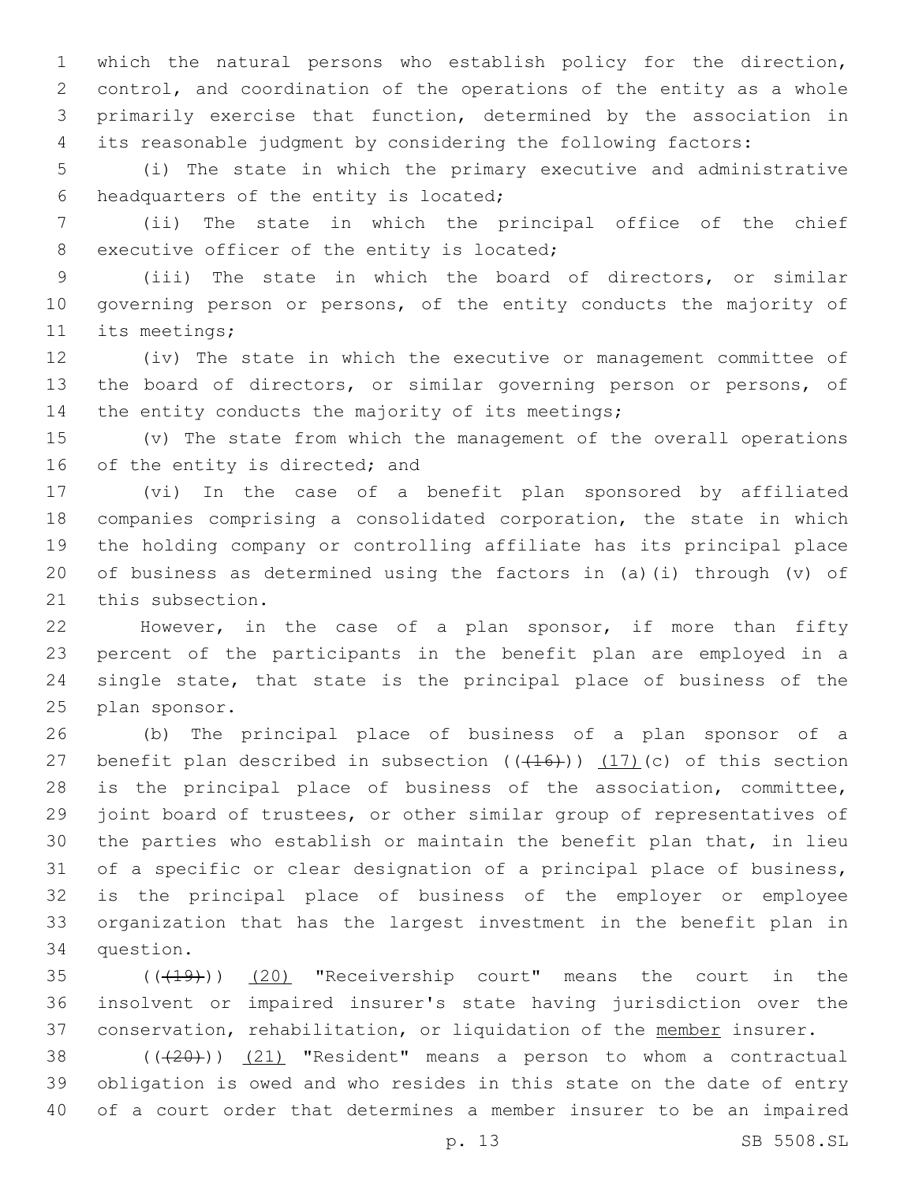which the natural persons who establish policy for the direction, control, and coordination of the operations of the entity as a whole primarily exercise that function, determined by the association in its reasonable judgment by considering the following factors:

 (i) The state in which the primary executive and administrative 6 headquarters of the entity is located;

 (ii) The state in which the principal office of the chief 8 executive officer of the entity is located;

 (iii) The state in which the board of directors, or similar governing person or persons, of the entity conducts the majority of 11 its meetings;

 (iv) The state in which the executive or management committee of the board of directors, or similar governing person or persons, of 14 the entity conducts the majority of its meetings;

 (v) The state from which the management of the overall operations 16 of the entity is directed; and

 (vi) In the case of a benefit plan sponsored by affiliated companies comprising a consolidated corporation, the state in which the holding company or controlling affiliate has its principal place of business as determined using the factors in (a)(i) through (v) of 21 this subsection.

 However, in the case of a plan sponsor, if more than fifty percent of the participants in the benefit plan are employed in a single state, that state is the principal place of business of the 25 plan sponsor.

 (b) The principal place of business of a plan sponsor of a 27 benefit plan described in subsection  $((+16))$   $(17)$  (c) of this section is the principal place of business of the association, committee, joint board of trustees, or other similar group of representatives of the parties who establish or maintain the benefit plan that, in lieu of a specific or clear designation of a principal place of business, is the principal place of business of the employer or employee organization that has the largest investment in the benefit plan in 34 question.

 ( $(\overline{+19})$ )  $(20)$  "Receivership court" means the court in the insolvent or impaired insurer's state having jurisdiction over the 37 conservation, rehabilitation, or liquidation of the member insurer.

 ( $(\overline{+20})$ )  $(21)$  "Resident" means a person to whom a contractual obligation is owed and who resides in this state on the date of entry of a court order that determines a member insurer to be an impaired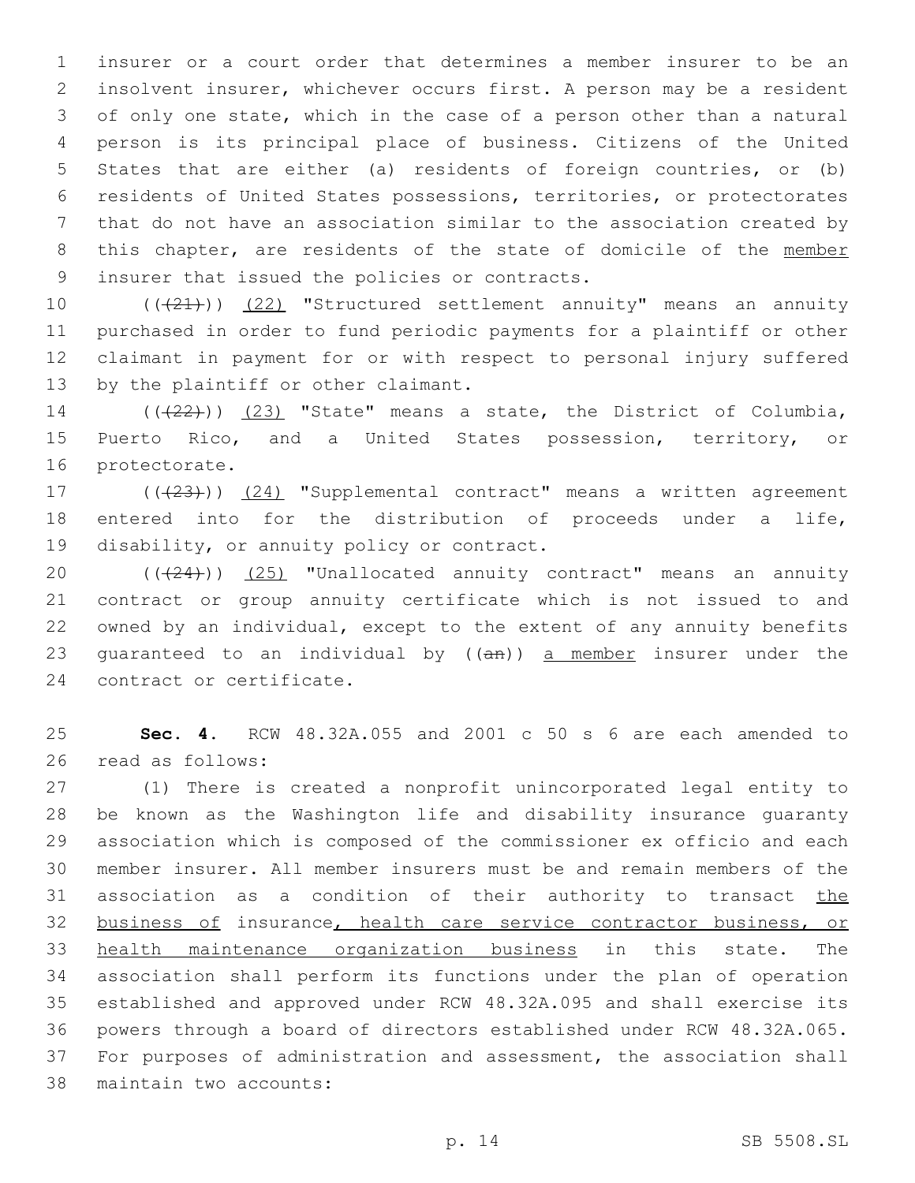insurer or a court order that determines a member insurer to be an insolvent insurer, whichever occurs first. A person may be a resident of only one state, which in the case of a person other than a natural person is its principal place of business. Citizens of the United States that are either (a) residents of foreign countries, or (b) residents of United States possessions, territories, or protectorates that do not have an association similar to the association created by 8 this chapter, are residents of the state of domicile of the member 9 insurer that issued the policies or contracts.

10 (((21))) (22) "Structured settlement annuity" means an annuity purchased in order to fund periodic payments for a plaintiff or other claimant in payment for or with respect to personal injury suffered 13 by the plaintiff or other claimant.

14  $((+22))$   $(23)$  "State" means a state, the District of Columbia, Puerto Rico, and a United States possession, territory, or 16 protectorate.

17 (((23))) (24) "Supplemental contract" means a written agreement entered into for the distribution of proceeds under a life, 19 disability, or annuity policy or contract.

20 (((24))) (25) "Unallocated annuity contract" means an annuity contract or group annuity certificate which is not issued to and owned by an individual, except to the extent of any annuity benefits 23 quaranteed to an individual by  $((an))$  a member insurer under the 24 contract or certificate.

 **Sec. 4.** RCW 48.32A.055 and 2001 c 50 s 6 are each amended to read as follows:26

 (1) There is created a nonprofit unincorporated legal entity to be known as the Washington life and disability insurance guaranty association which is composed of the commissioner ex officio and each member insurer. All member insurers must be and remain members of the 31 association as a condition of their authority to transact the business of insurance, health care service contractor business, or health maintenance organization business in this state. The association shall perform its functions under the plan of operation established and approved under RCW 48.32A.095 and shall exercise its powers through a board of directors established under RCW 48.32A.065. For purposes of administration and assessment, the association shall 38 maintain two accounts: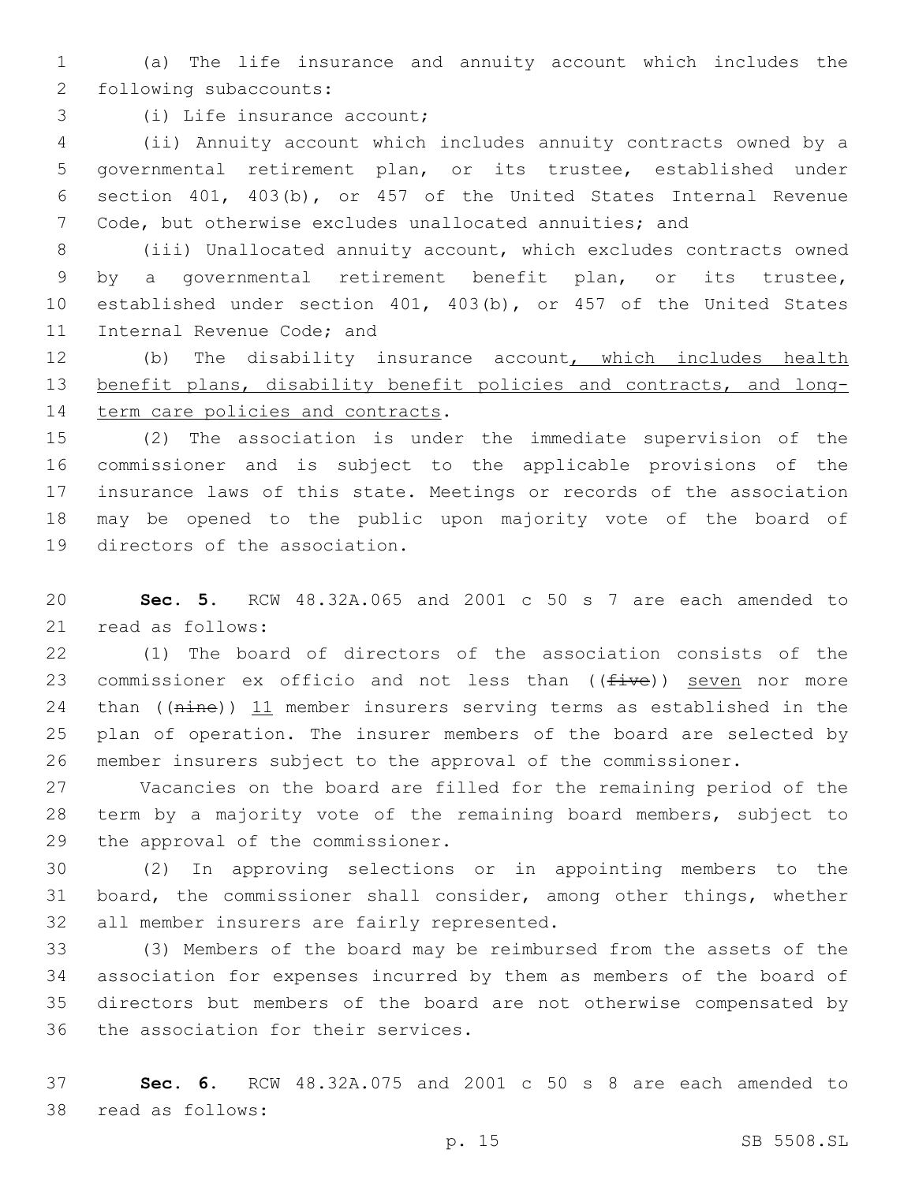(a) The life insurance and annuity account which includes the 2 following subaccounts:

3 (i) Life insurance account;

 (ii) Annuity account which includes annuity contracts owned by a governmental retirement plan, or its trustee, established under section 401, 403(b), or 457 of the United States Internal Revenue Code, but otherwise excludes unallocated annuities; and

 (iii) Unallocated annuity account, which excludes contracts owned by a governmental retirement benefit plan, or its trustee, established under section 401, 403(b), or 457 of the United States 11 Internal Revenue Code; and

 (b) The disability insurance account, which includes health benefit plans, disability benefit policies and contracts, and long-14 term care policies and contracts.

 (2) The association is under the immediate supervision of the commissioner and is subject to the applicable provisions of the insurance laws of this state. Meetings or records of the association may be opened to the public upon majority vote of the board of 19 directors of the association.

 **Sec. 5.** RCW 48.32A.065 and 2001 c 50 s 7 are each amended to 21 read as follows:

 (1) The board of directors of the association consists of the 23 commissioner ex officio and not less than  $((five))$  seven nor more 24 than ((nine)) 11 member insurers serving terms as established in the plan of operation. The insurer members of the board are selected by member insurers subject to the approval of the commissioner.

 Vacancies on the board are filled for the remaining period of the term by a majority vote of the remaining board members, subject to 29 the approval of the commissioner.

 (2) In approving selections or in appointing members to the board, the commissioner shall consider, among other things, whether 32 all member insurers are fairly represented.

 (3) Members of the board may be reimbursed from the assets of the association for expenses incurred by them as members of the board of directors but members of the board are not otherwise compensated by 36 the association for their services.

 **Sec. 6.** RCW 48.32A.075 and 2001 c 50 s 8 are each amended to 38 read as follows: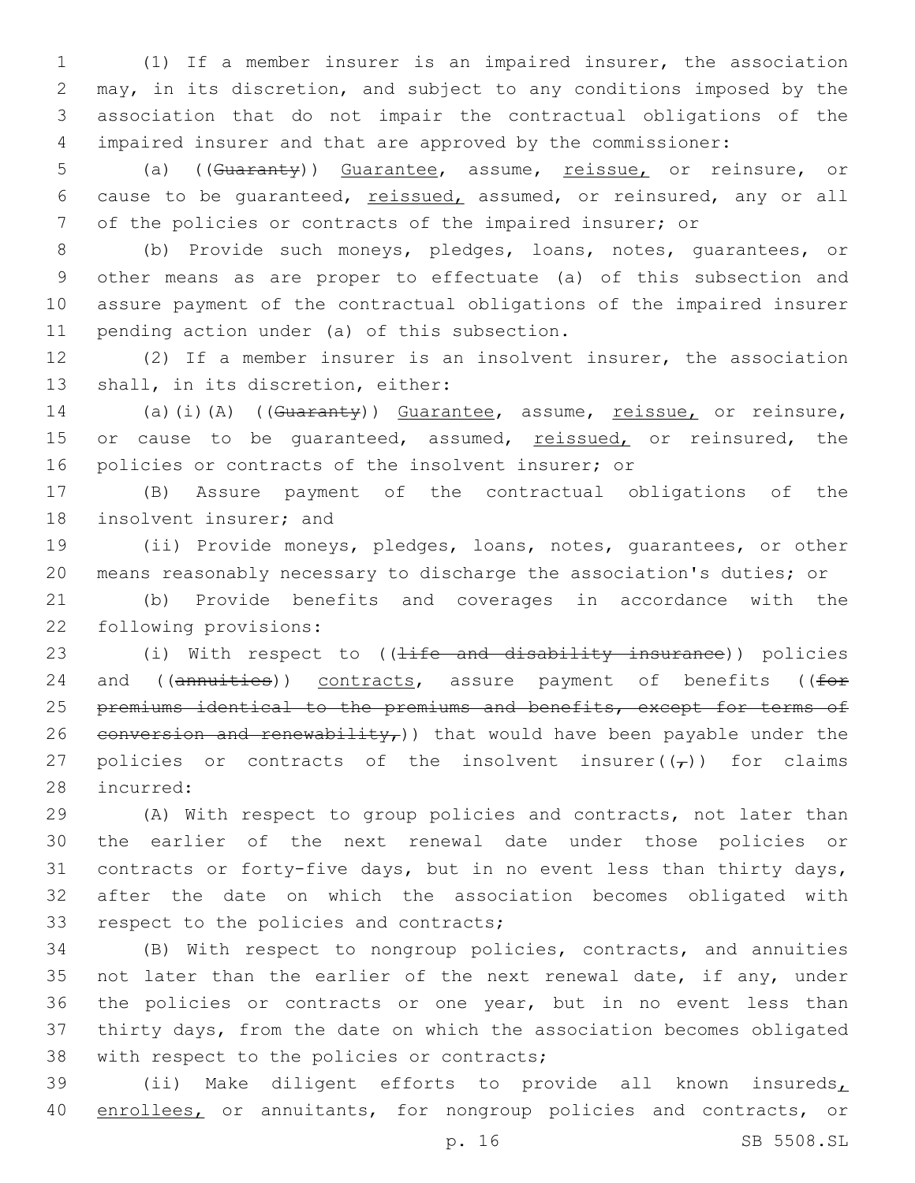(1) If a member insurer is an impaired insurer, the association may, in its discretion, and subject to any conditions imposed by the association that do not impair the contractual obligations of the impaired insurer and that are approved by the commissioner:

5 (a) ((Guaranty)) Guarantee, assume, reissue, or reinsure, or 6 cause to be guaranteed, reissued, assumed, or reinsured, any or all 7 of the policies or contracts of the impaired insurer; or

 (b) Provide such moneys, pledges, loans, notes, guarantees, or other means as are proper to effectuate (a) of this subsection and assure payment of the contractual obligations of the impaired insurer 11 pending action under (a) of this subsection.

12 (2) If a member insurer is an insolvent insurer, the association 13 shall, in its discretion, either:

14 (a)(i)(A) ((Guaranty)) Guarantee, assume, reissue, or reinsure, 15 or cause to be quaranteed, assumed, reissued, or reinsured, the 16 policies or contracts of the insolvent insurer; or

17 (B) Assure payment of the contractual obligations of the 18 insolvent insurer; and

19 (ii) Provide moneys, pledges, loans, notes, guarantees, or other 20 means reasonably necessary to discharge the association's duties; or

21 (b) Provide benefits and coverages in accordance with the 22 following provisions:

23 (i) With respect to ((<del>life and disability insurance</del>)) policies 24 and ((annuities)) contracts, assure payment of benefits ((for 25 premiums identical to the premiums and benefits, except for terms of 26 conversion and renewability,) that would have been payable under the 27 policies or contracts of the insolvent insurer( $(\tau)$ ) for claims 28 incurred:

 (A) With respect to group policies and contracts, not later than the earlier of the next renewal date under those policies or contracts or forty-five days, but in no event less than thirty days, after the date on which the association becomes obligated with 33 respect to the policies and contracts;

34 (B) With respect to nongroup policies, contracts, and annuities 35 not later than the earlier of the next renewal date, if any, under 36 the policies or contracts or one year, but in no event less than 37 thirty days, from the date on which the association becomes obligated 38 with respect to the policies or contracts;

39 (ii) Make diligent efforts to provide all known insureds, 40 enrollees, or annuitants, for nongroup policies and contracts, or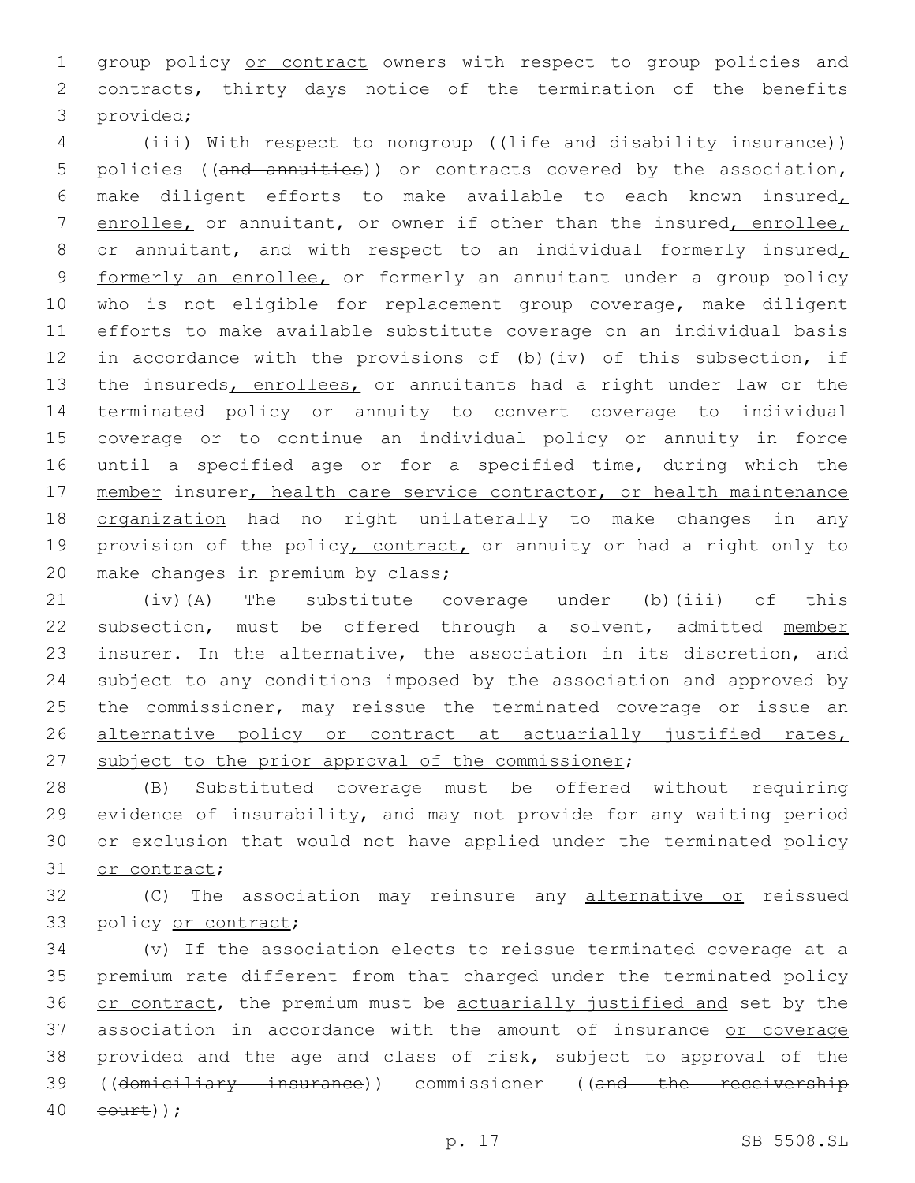group policy or contract owners with respect to group policies and contracts, thirty days notice of the termination of the benefits 3 provided;

4 (iii) With respect to nongroup ((<del>life and disability insurance</del>)) 5 policies ((and annuities)) or contracts covered by the association, make diligent efforts to make available to each known insured, enrollee, or annuitant, or owner if other than the insured, enrollee, 8 or annuitant, and with respect to an individual formerly insured, formerly an enrollee, or formerly an annuitant under a group policy who is not eligible for replacement group coverage, make diligent efforts to make available substitute coverage on an individual basis in accordance with the provisions of (b)(iv) of this subsection, if 13 the insureds, enrollees, or annuitants had a right under law or the terminated policy or annuity to convert coverage to individual coverage or to continue an individual policy or annuity in force until a specified age or for a specified time, during which the 17 member insurer, health care service contractor, or health maintenance organization had no right unilaterally to make changes in any 19 provision of the policy, contract, or annuity or had a right only to 20 make changes in premium by class;

 (iv)(A) The substitute coverage under (b)(iii) of this subsection, must be offered through a solvent, admitted member insurer. In the alternative, the association in its discretion, and subject to any conditions imposed by the association and approved by 25 the commissioner, may reissue the terminated coverage or issue an 26 alternative policy or contract at actuarially justified rates, 27 subject to the prior approval of the commissioner;

 (B) Substituted coverage must be offered without requiring evidence of insurability, and may not provide for any waiting period or exclusion that would not have applied under the terminated policy 31 or contract;

32 (C) The association may reinsure any alternative or reissued 33 policy or contract;

 (v) If the association elects to reissue terminated coverage at a premium rate different from that charged under the terminated policy or contract, the premium must be actuarially justified and set by the association in accordance with the amount of insurance or coverage provided and the age and class of risk, subject to approval of the 39 ((domiciliary insurance)) commissioner ((and the receivership eourt));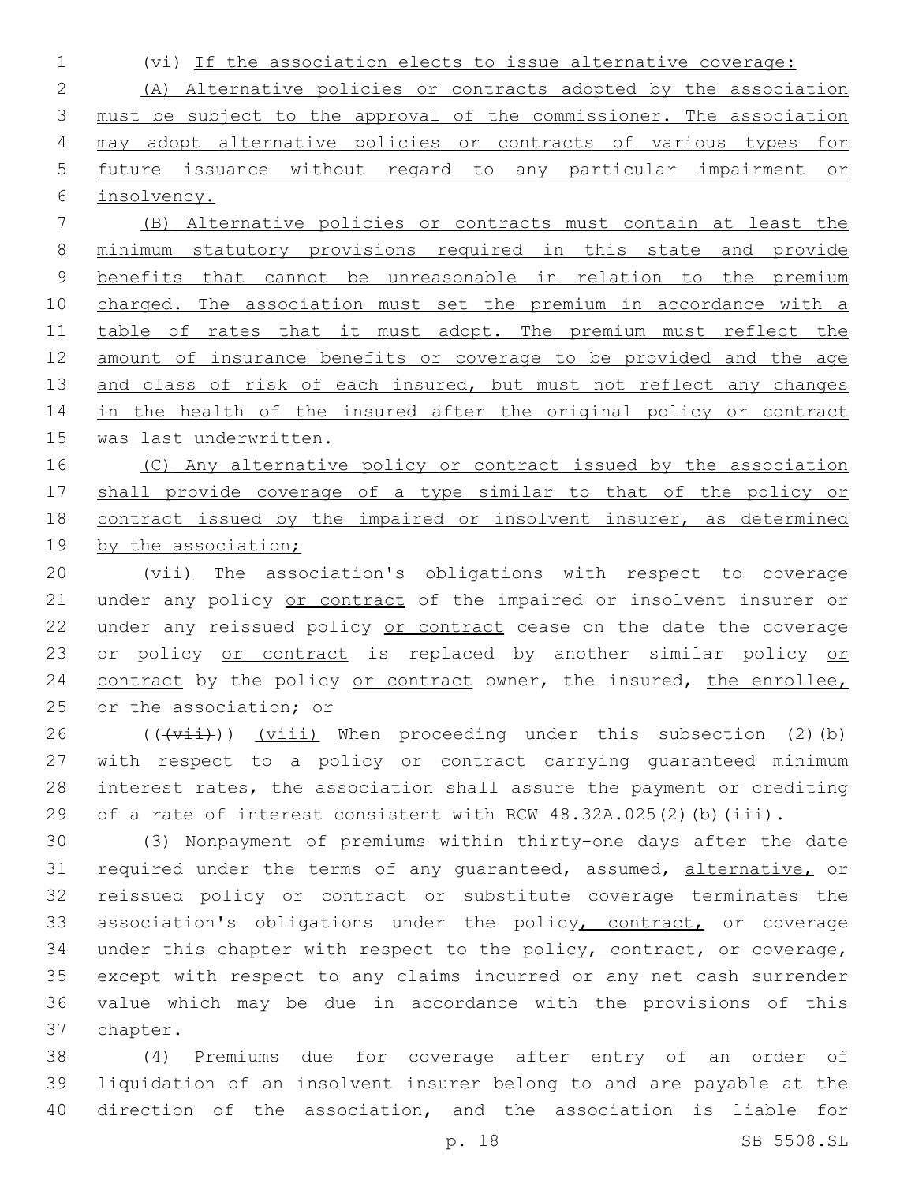1 (vi) If the association elects to issue alternative coverage:

 (A) Alternative policies or contracts adopted by the association must be subject to the approval of the commissioner. The association may adopt alternative policies or contracts of various types for future issuance without regard to any particular impairment or insolvency.

7 (B) Alternative policies or contracts must contain at least the 8 minimum statutory provisions required in this state and provide 9 benefits that cannot be unreasonable in relation to the premium 10 charged. The association must set the premium in accordance with a 11 table of rates that it must adopt. The premium must reflect the 12 amount of insurance benefits or coverage to be provided and the age 13 and class of risk of each insured, but must not reflect any changes 14 in the health of the insured after the original policy or contract 15 was last underwritten.

16 (C) Any alternative policy or contract issued by the association 17 shall provide coverage of a type similar to that of the policy or 18 contract issued by the impaired or insolvent insurer, as determined 19 by the association;

20 (vii) The association's obligations with respect to coverage 21 under any policy or contract of the impaired or insolvent insurer or 22 under any reissued policy or contract cease on the date the coverage 23 or policy or contract is replaced by another similar policy or 24 contract by the policy or contract owner, the insured, the enrollee, 25 or the association; or

 ( $(\overrightarrow{vii})$ ) (viii) When proceeding under this subsection (2)(b) with respect to a policy or contract carrying guaranteed minimum interest rates, the association shall assure the payment or crediting 29 of a rate of interest consistent with RCW 48.32A.025(2)(b)(iii).

30 (3) Nonpayment of premiums within thirty-one days after the date 31 required under the terms of any quaranteed, assumed, alternative, or 32 reissued policy or contract or substitute coverage terminates the 33 association's obligations under the policy, contract, or coverage 34 under this chapter with respect to the policy, contract, or coverage, 35 except with respect to any claims incurred or any net cash surrender 36 value which may be due in accordance with the provisions of this 37 chapter.

38 (4) Premiums due for coverage after entry of an order of 39 liquidation of an insolvent insurer belong to and are payable at the 40 direction of the association, and the association is liable for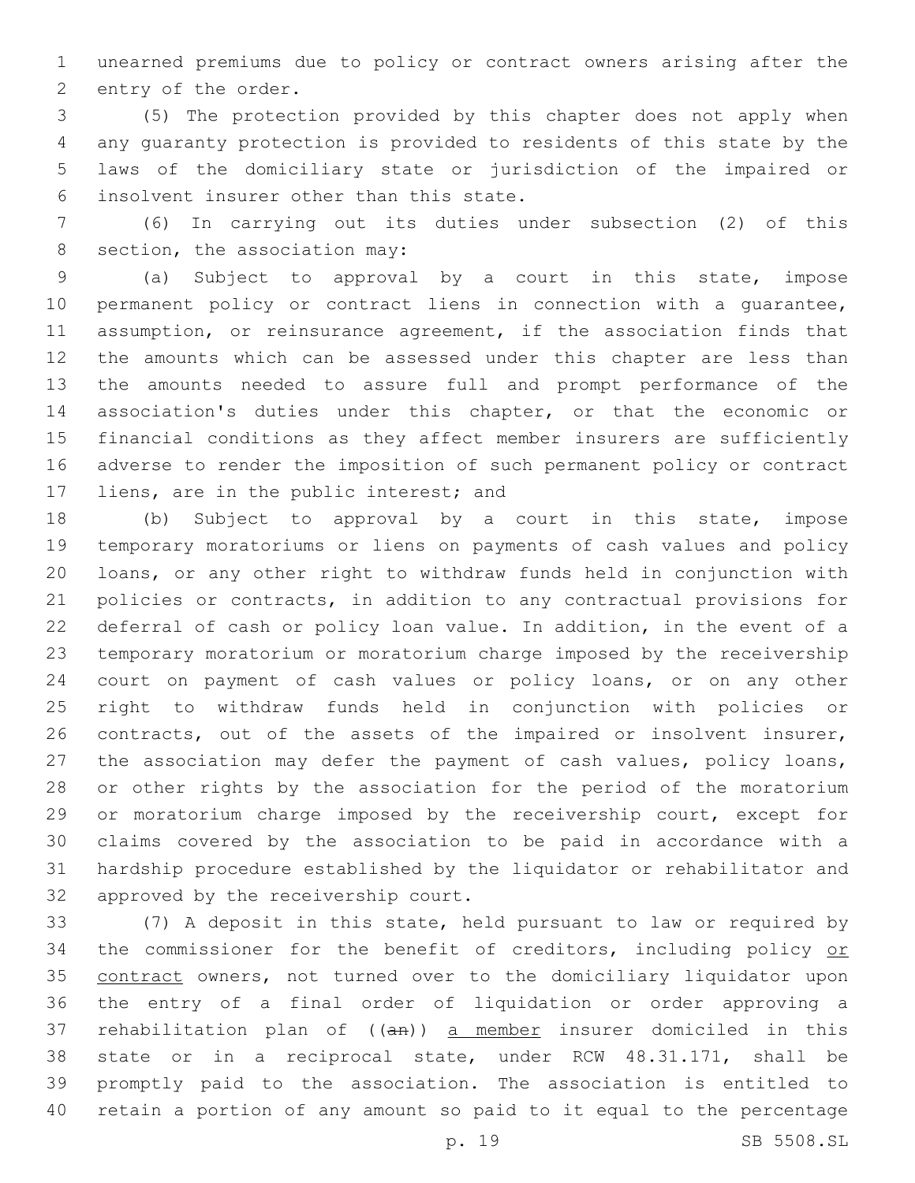unearned premiums due to policy or contract owners arising after the 2 entry of the order.

 (5) The protection provided by this chapter does not apply when any guaranty protection is provided to residents of this state by the laws of the domiciliary state or jurisdiction of the impaired or insolvent insurer other than this state.6

 (6) In carrying out its duties under subsection (2) of this 8 section, the association may:

 (a) Subject to approval by a court in this state, impose permanent policy or contract liens in connection with a guarantee, assumption, or reinsurance agreement, if the association finds that the amounts which can be assessed under this chapter are less than the amounts needed to assure full and prompt performance of the association's duties under this chapter, or that the economic or financial conditions as they affect member insurers are sufficiently adverse to render the imposition of such permanent policy or contract 17 liens, are in the public interest; and

 (b) Subject to approval by a court in this state, impose temporary moratoriums or liens on payments of cash values and policy loans, or any other right to withdraw funds held in conjunction with policies or contracts, in addition to any contractual provisions for deferral of cash or policy loan value. In addition, in the event of a temporary moratorium or moratorium charge imposed by the receivership court on payment of cash values or policy loans, or on any other right to withdraw funds held in conjunction with policies or contracts, out of the assets of the impaired or insolvent insurer, the association may defer the payment of cash values, policy loans, or other rights by the association for the period of the moratorium or moratorium charge imposed by the receivership court, except for claims covered by the association to be paid in accordance with a hardship procedure established by the liquidator or rehabilitator and 32 approved by the receivership court.

 (7) A deposit in this state, held pursuant to law or required by 34 the commissioner for the benefit of creditors, including policy or contract owners, not turned over to the domiciliary liquidator upon the entry of a final order of liquidation or order approving a 37 rehabilitation plan of  $((an))$  a member insurer domiciled in this state or in a reciprocal state, under RCW 48.31.171, shall be promptly paid to the association. The association is entitled to retain a portion of any amount so paid to it equal to the percentage

p. 19 SB 5508.SL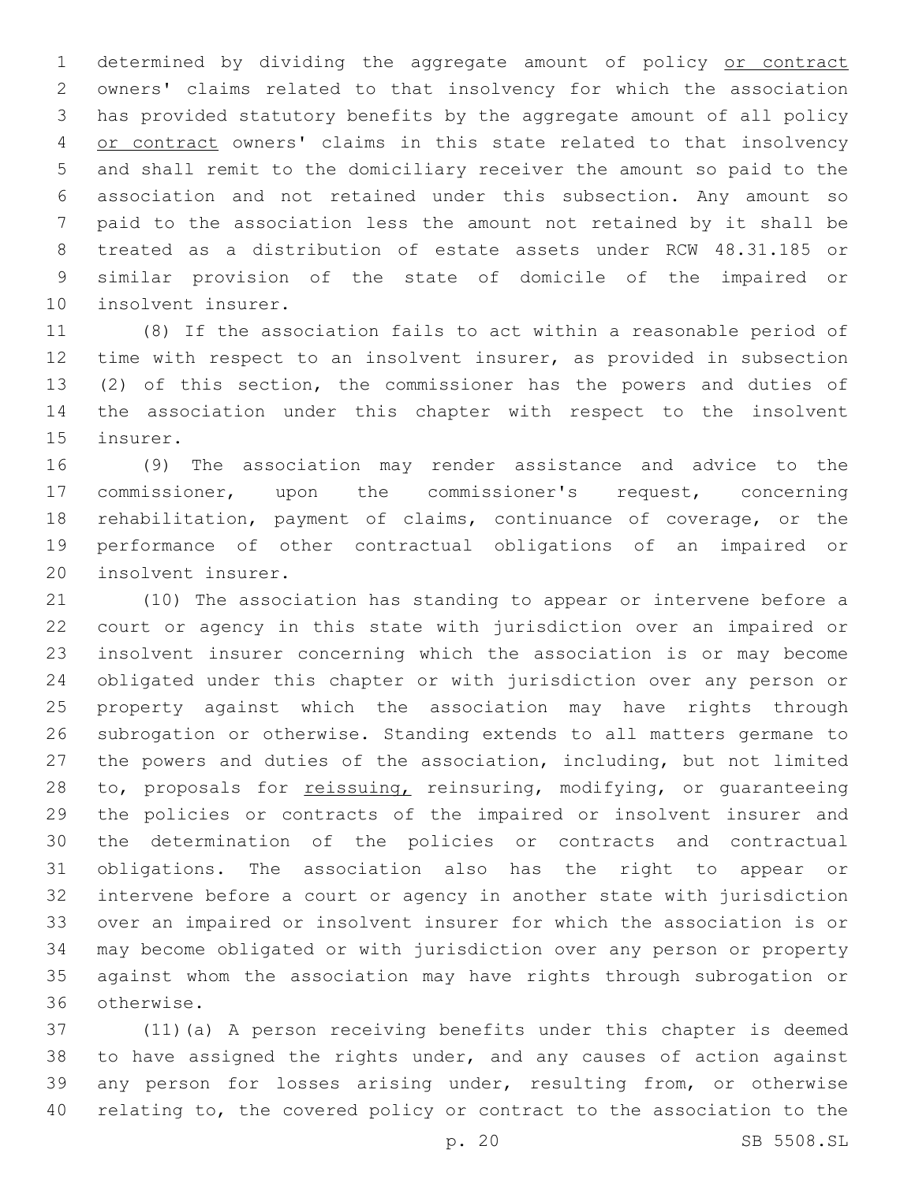1 determined by dividing the aggregate amount of policy or contract owners' claims related to that insolvency for which the association has provided statutory benefits by the aggregate amount of all policy 4 or contract owners' claims in this state related to that insolvency and shall remit to the domiciliary receiver the amount so paid to the association and not retained under this subsection. Any amount so paid to the association less the amount not retained by it shall be treated as a distribution of estate assets under RCW 48.31.185 or similar provision of the state of domicile of the impaired or 10 insolvent insurer.

 (8) If the association fails to act within a reasonable period of time with respect to an insolvent insurer, as provided in subsection (2) of this section, the commissioner has the powers and duties of the association under this chapter with respect to the insolvent 15 insurer.

 (9) The association may render assistance and advice to the commissioner, upon the commissioner's request, concerning rehabilitation, payment of claims, continuance of coverage, or the performance of other contractual obligations of an impaired or 20 insolvent insurer.

 (10) The association has standing to appear or intervene before a court or agency in this state with jurisdiction over an impaired or insolvent insurer concerning which the association is or may become obligated under this chapter or with jurisdiction over any person or property against which the association may have rights through subrogation or otherwise. Standing extends to all matters germane to the powers and duties of the association, including, but not limited 28 to, proposals for reissuing, reinsuring, modifying, or quaranteeing the policies or contracts of the impaired or insolvent insurer and 30 the determination of the policies or contracts and contractual obligations. The association also has the right to appear or intervene before a court or agency in another state with jurisdiction over an impaired or insolvent insurer for which the association is or may become obligated or with jurisdiction over any person or property against whom the association may have rights through subrogation or otherwise.36

 (11)(a) A person receiving benefits under this chapter is deemed to have assigned the rights under, and any causes of action against any person for losses arising under, resulting from, or otherwise relating to, the covered policy or contract to the association to the

p. 20 SB 5508.SL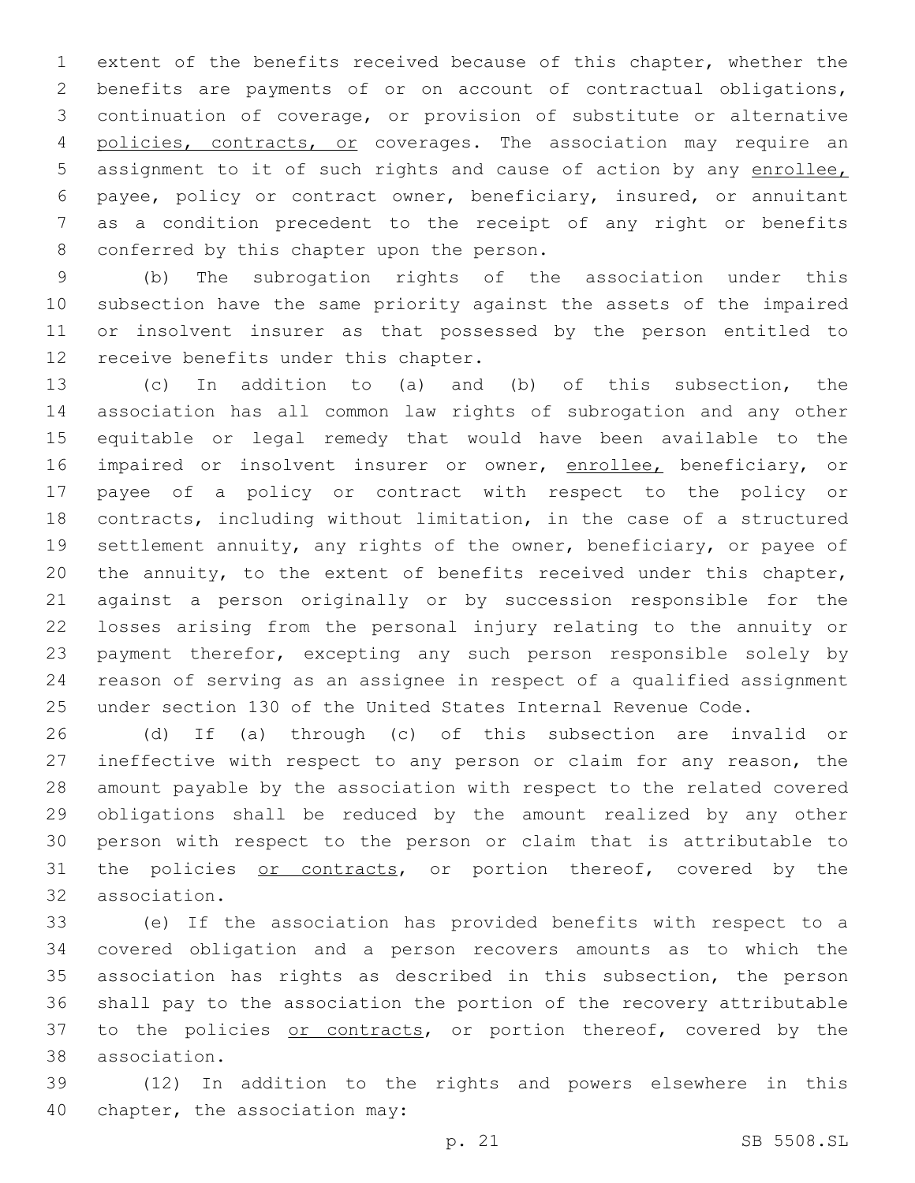extent of the benefits received because of this chapter, whether the benefits are payments of or on account of contractual obligations, continuation of coverage, or provision of substitute or alternative 4 policies, contracts, or coverages. The association may require an assignment to it of such rights and cause of action by any enrollee, payee, policy or contract owner, beneficiary, insured, or annuitant as a condition precedent to the receipt of any right or benefits 8 conferred by this chapter upon the person.

 (b) The subrogation rights of the association under this subsection have the same priority against the assets of the impaired or insolvent insurer as that possessed by the person entitled to 12 receive benefits under this chapter.

 (c) In addition to (a) and (b) of this subsection, the association has all common law rights of subrogation and any other equitable or legal remedy that would have been available to the 16 impaired or insolvent insurer or owner, enrollee, beneficiary, or payee of a policy or contract with respect to the policy or contracts, including without limitation, in the case of a structured settlement annuity, any rights of the owner, beneficiary, or payee of the annuity, to the extent of benefits received under this chapter, against a person originally or by succession responsible for the losses arising from the personal injury relating to the annuity or payment therefor, excepting any such person responsible solely by reason of serving as an assignee in respect of a qualified assignment under section 130 of the United States Internal Revenue Code.

 (d) If (a) through (c) of this subsection are invalid or ineffective with respect to any person or claim for any reason, the amount payable by the association with respect to the related covered obligations shall be reduced by the amount realized by any other person with respect to the person or claim that is attributable to 31 the policies or contracts, or portion thereof, covered by the 32 association.

 (e) If the association has provided benefits with respect to a covered obligation and a person recovers amounts as to which the association has rights as described in this subsection, the person shall pay to the association the portion of the recovery attributable 37 to the policies or contracts, or portion thereof, covered by the association.38

 (12) In addition to the rights and powers elsewhere in this 40 chapter, the association may: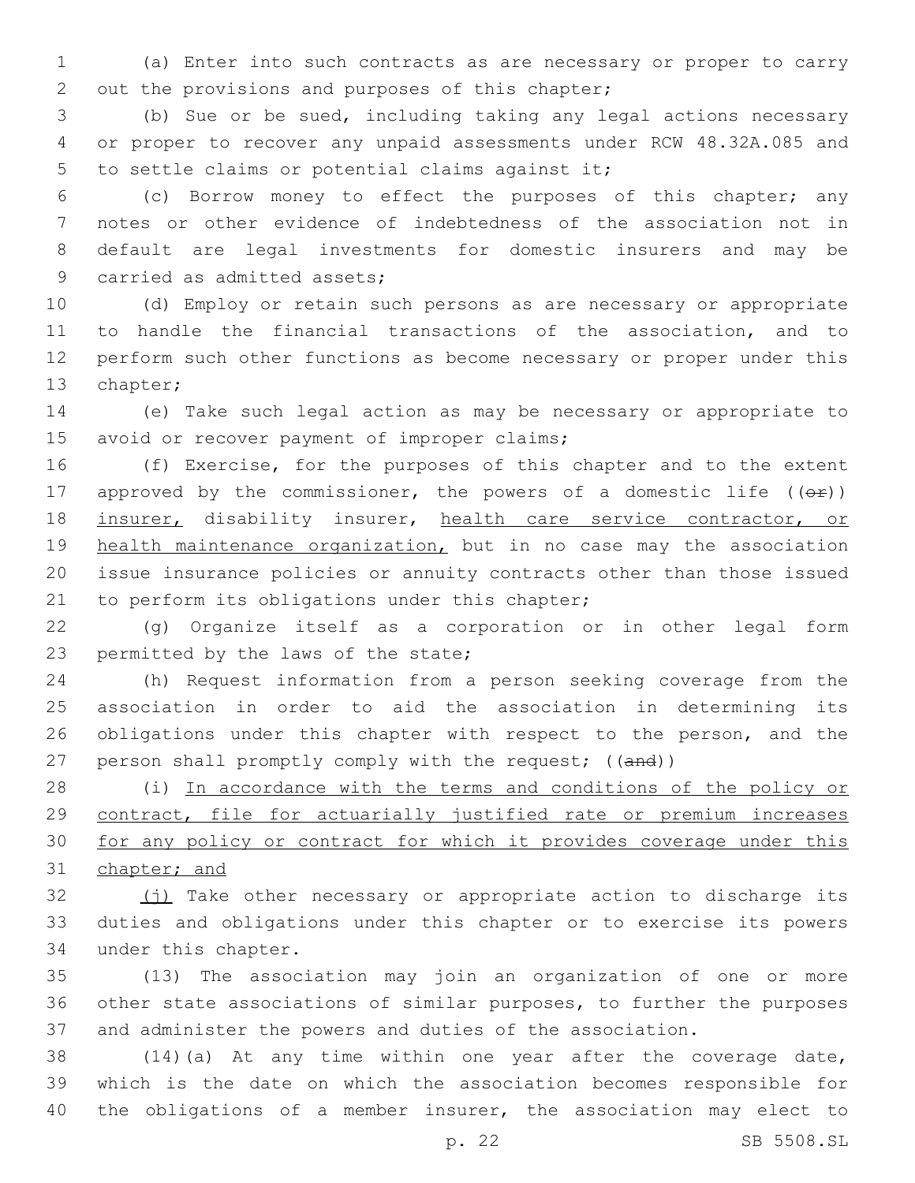1 (a) Enter into such contracts as are necessary or proper to carry 2 out the provisions and purposes of this chapter;

3 (b) Sue or be sued, including taking any legal actions necessary 4 or proper to recover any unpaid assessments under RCW 48.32A.085 and 5 to settle claims or potential claims against it;

 (c) Borrow money to effect the purposes of this chapter; any notes or other evidence of indebtedness of the association not in default are legal investments for domestic insurers and may be 9 carried as admitted assets;

 (d) Employ or retain such persons as are necessary or appropriate to handle the financial transactions of the association, and to perform such other functions as become necessary or proper under this 13 chapter;

14 (e) Take such legal action as may be necessary or appropriate to 15 avoid or recover payment of improper claims;

16 (f) Exercise, for the purposes of this chapter and to the extent 17 approved by the commissioner, the powers of a domestic life  $((\theta \cdot \hat{r}))$ 18 insurer, disability insurer, health care service contractor, or 19 health maintenance organization, but in no case may the association 20 issue insurance policies or annuity contracts other than those issued 21 to perform its obligations under this chapter;

22 (g) Organize itself as a corporation or in other legal form 23 permitted by the laws of the state;

24 (h) Request information from a person seeking coverage from the 25 association in order to aid the association in determining its 26 obligations under this chapter with respect to the person, and the 27 person shall promptly comply with the request; ((and))

28 (i) In accordance with the terms and conditions of the policy or 29 contract, file for actuarially justified rate or premium increases 30 for any policy or contract for which it provides coverage under this 31 chapter; and

32 (j) Take other necessary or appropriate action to discharge its 33 duties and obligations under this chapter or to exercise its powers 34 under this chapter.

35 (13) The association may join an organization of one or more 36 other state associations of similar purposes, to further the purposes 37 and administer the powers and duties of the association.

38 (14)(a) At any time within one year after the coverage date, 39 which is the date on which the association becomes responsible for 40 the obligations of a member insurer, the association may elect to

p. 22 SB 5508.SL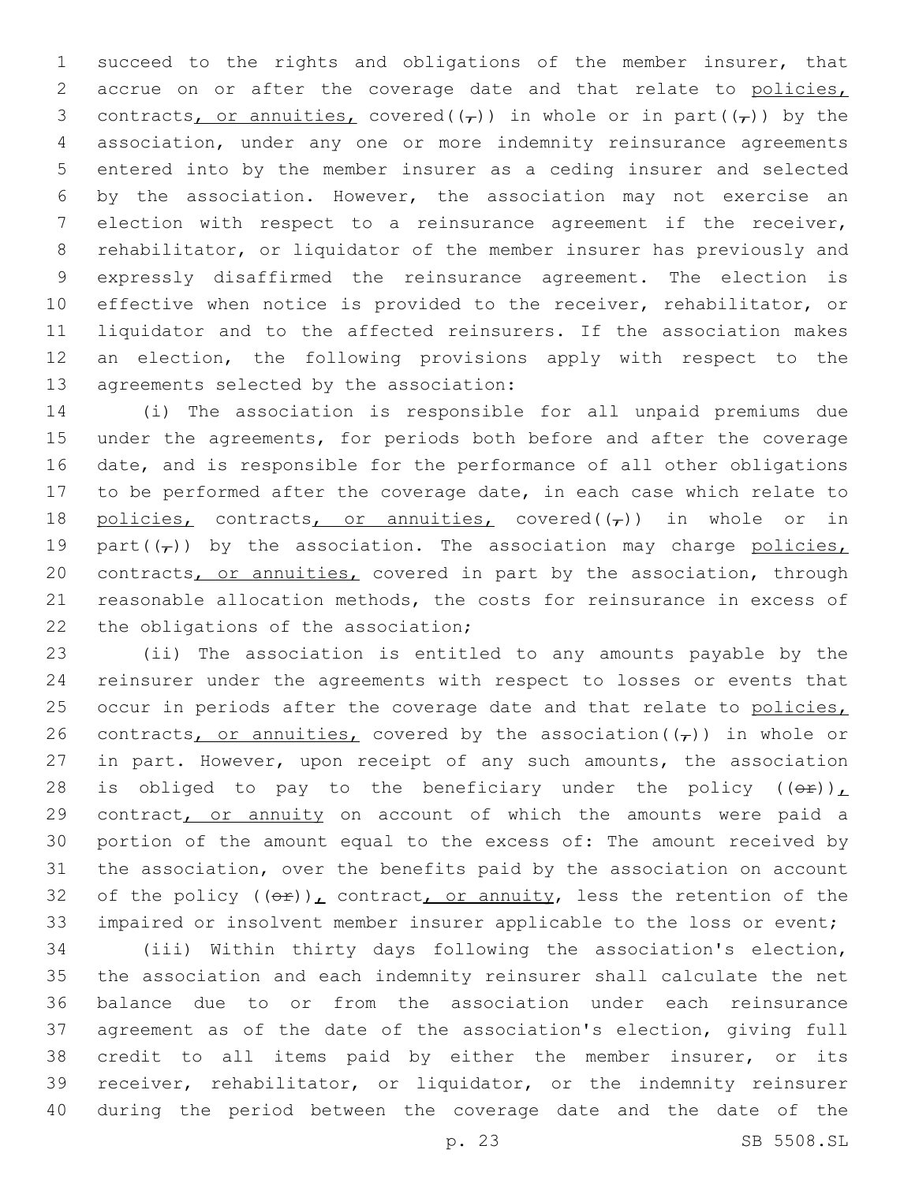succeed to the rights and obligations of the member insurer, that 2 accrue on or after the coverage date and that relate to policies, 3 contracts, or annuities, covered( $(\tau)$ ) in whole or in part( $(\tau)$ ) by the association, under any one or more indemnity reinsurance agreements entered into by the member insurer as a ceding insurer and selected by the association. However, the association may not exercise an election with respect to a reinsurance agreement if the receiver, rehabilitator, or liquidator of the member insurer has previously and expressly disaffirmed the reinsurance agreement. The election is effective when notice is provided to the receiver, rehabilitator, or liquidator and to the affected reinsurers. If the association makes an election, the following provisions apply with respect to the 13 agreements selected by the association:

 (i) The association is responsible for all unpaid premiums due under the agreements, for periods both before and after the coverage date, and is responsible for the performance of all other obligations to be performed after the coverage date, in each case which relate to 18 policies, contracts, or annuities, covered( $(\tau)$ ) in whole or in 19 part( $(\tau)$ ) by the association. The association may charge policies, 20 contracts, or annuities, covered in part by the association, through reasonable allocation methods, the costs for reinsurance in excess of 22 the obligations of the association;

 (ii) The association is entitled to any amounts payable by the reinsurer under the agreements with respect to losses or events that occur in periods after the coverage date and that relate to policies, 26 contracts, or annuities, covered by the association  $(\tau)$ ) in whole or in part. However, upon receipt of any such amounts, the association 28 is obliged to pay to the beneficiary under the policy  $((\theta \cdot \mathbf{r}))$ 29 contract, or annuity on account of which the amounts were paid a portion of the amount equal to the excess of: The amount received by the association, over the benefits paid by the association on account 32 of the policy  $((e^E))^L$  contract, or annuity, less the retention of the impaired or insolvent member insurer applicable to the loss or event;

 (iii) Within thirty days following the association's election, the association and each indemnity reinsurer shall calculate the net balance due to or from the association under each reinsurance agreement as of the date of the association's election, giving full credit to all items paid by either the member insurer, or its receiver, rehabilitator, or liquidator, or the indemnity reinsurer during the period between the coverage date and the date of the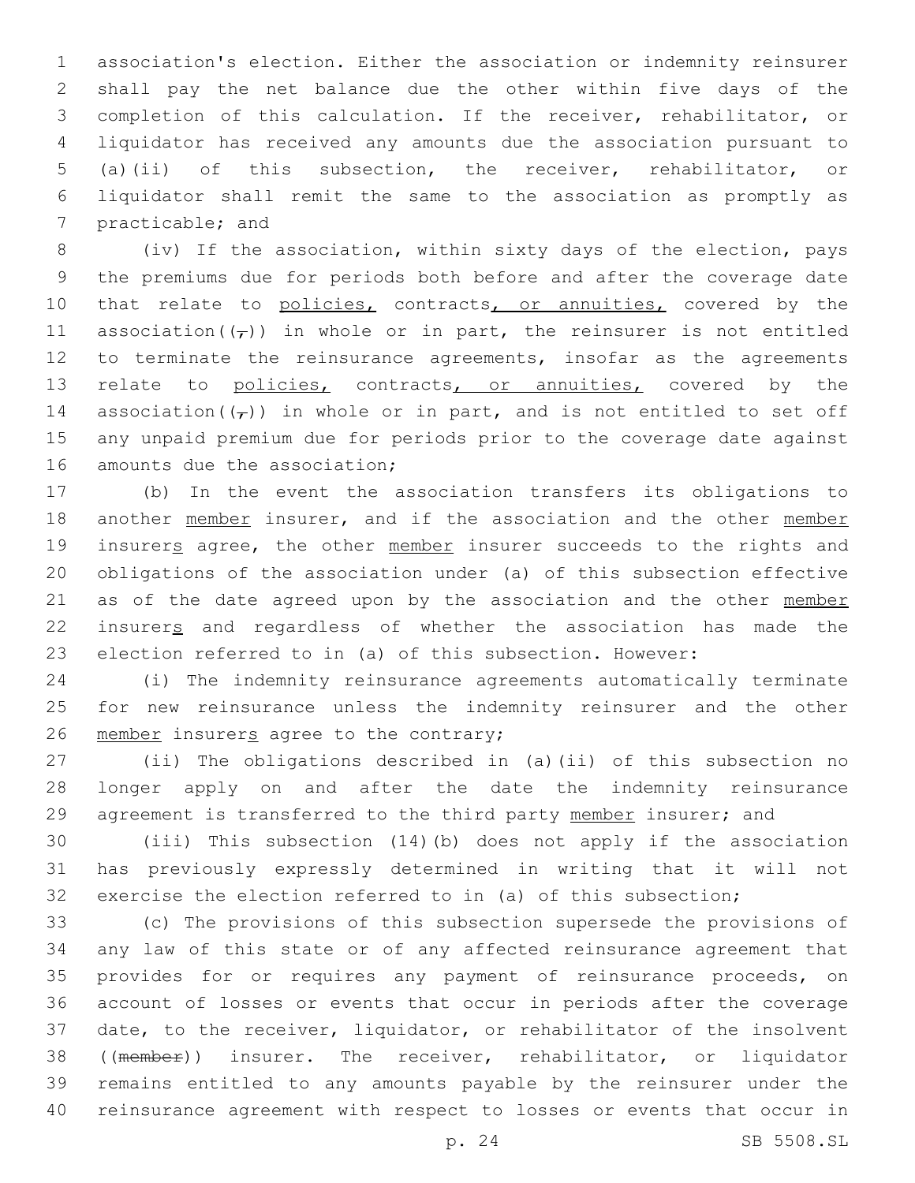association's election. Either the association or indemnity reinsurer shall pay the net balance due the other within five days of the completion of this calculation. If the receiver, rehabilitator, or liquidator has received any amounts due the association pursuant to (a)(ii) of this subsection, the receiver, rehabilitator, or liquidator shall remit the same to the association as promptly as 7 practicable; and

 (iv) If the association, within sixty days of the election, pays the premiums due for periods both before and after the coverage date 10 that relate to policies, contracts, or annuities, covered by the 11 association( $(\tau)$ ) in whole or in part, the reinsurer is not entitled 12 to terminate the reinsurance agreements, insofar as the agreements 13 relate to policies, contracts, or annuities, covered by the 14 association( $(\tau)$ ) in whole or in part, and is not entitled to set off any unpaid premium due for periods prior to the coverage date against 16 amounts due the association;

 (b) In the event the association transfers its obligations to 18 another member insurer, and if the association and the other member 19 insurers agree, the other member insurer succeeds to the rights and obligations of the association under (a) of this subsection effective as of the date agreed upon by the association and the other member insurers and regardless of whether the association has made the election referred to in (a) of this subsection. However:

 (i) The indemnity reinsurance agreements automatically terminate for new reinsurance unless the indemnity reinsurer and the other 26 member insurers agree to the contrary;

 (ii) The obligations described in (a)(ii) of this subsection no longer apply on and after the date the indemnity reinsurance 29 agreement is transferred to the third party member insurer; and

 (iii) This subsection (14)(b) does not apply if the association has previously expressly determined in writing that it will not exercise the election referred to in (a) of this subsection;

 (c) The provisions of this subsection supersede the provisions of any law of this state or of any affected reinsurance agreement that provides for or requires any payment of reinsurance proceeds, on account of losses or events that occur in periods after the coverage date, to the receiver, liquidator, or rehabilitator of the insolvent ((member)) insurer. The receiver, rehabilitator, or liquidator remains entitled to any amounts payable by the reinsurer under the reinsurance agreement with respect to losses or events that occur in

p. 24 SB 5508.SL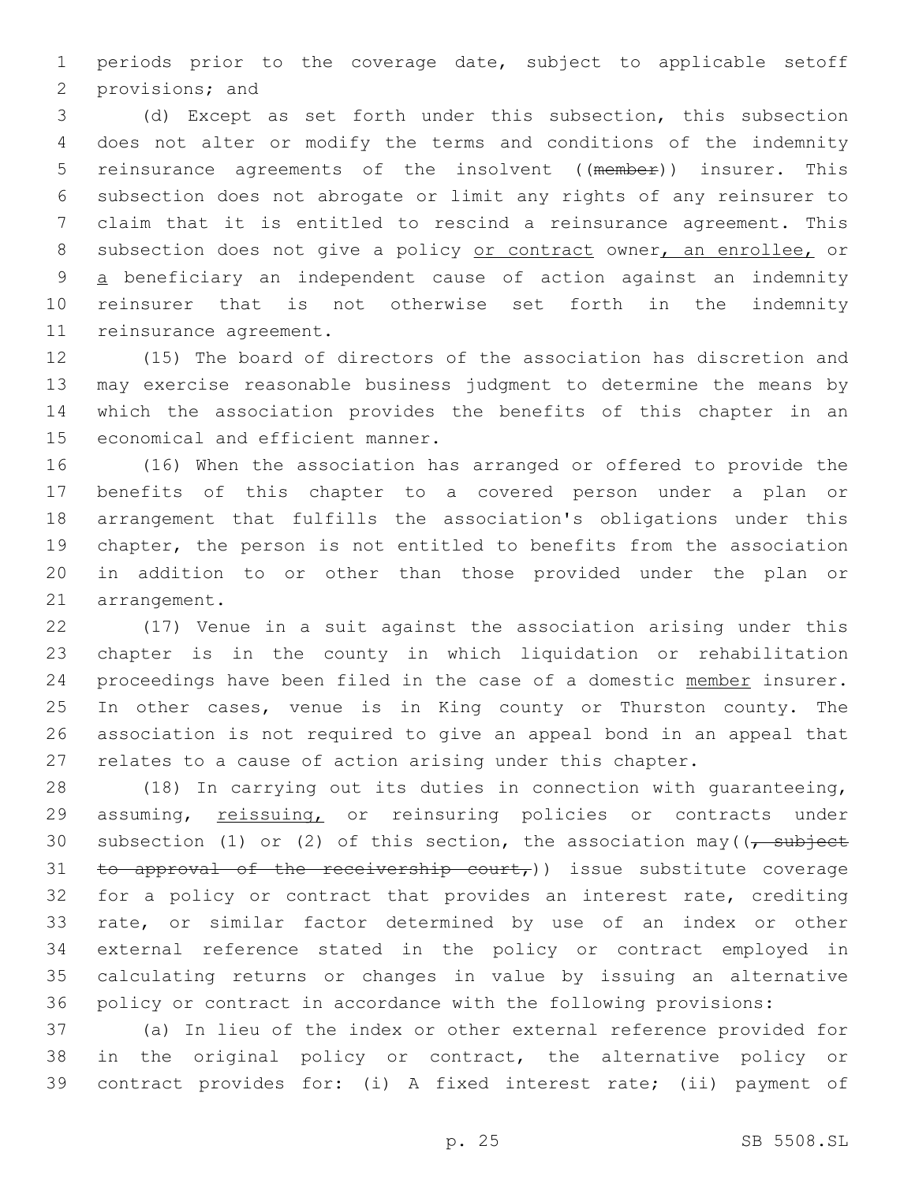periods prior to the coverage date, subject to applicable setoff 2 provisions; and

 (d) Except as set forth under this subsection, this subsection does not alter or modify the terms and conditions of the indemnity reinsurance agreements of the insolvent ((member)) insurer. This subsection does not abrogate or limit any rights of any reinsurer to claim that it is entitled to rescind a reinsurance agreement. This 8 subsection does not give a policy or contract owner, an enrollee, or a beneficiary an independent cause of action against an indemnity reinsurer that is not otherwise set forth in the indemnity 11 reinsurance agreement.

 (15) The board of directors of the association has discretion and may exercise reasonable business judgment to determine the means by which the association provides the benefits of this chapter in an 15 economical and efficient manner.

 (16) When the association has arranged or offered to provide the benefits of this chapter to a covered person under a plan or arrangement that fulfills the association's obligations under this chapter, the person is not entitled to benefits from the association in addition to or other than those provided under the plan or 21 arrangement.

 (17) Venue in a suit against the association arising under this chapter is in the county in which liquidation or rehabilitation 24 proceedings have been filed in the case of a domestic member insurer. In other cases, venue is in King county or Thurston county. The association is not required to give an appeal bond in an appeal that relates to a cause of action arising under this chapter.

 (18) In carrying out its duties in connection with guaranteeing, 29 assuming, reissuing, or reinsuring policies or contracts under 30 subsection (1) or (2) of this section, the association may  $\left(\frac{1}{\epsilon}, \frac{1}{\epsilon}\right)$ 31 to approval of the receivership court,)) issue substitute coverage 32 for a policy or contract that provides an interest rate, crediting rate, or similar factor determined by use of an index or other external reference stated in the policy or contract employed in calculating returns or changes in value by issuing an alternative policy or contract in accordance with the following provisions:

 (a) In lieu of the index or other external reference provided for in the original policy or contract, the alternative policy or contract provides for: (i) A fixed interest rate; (ii) payment of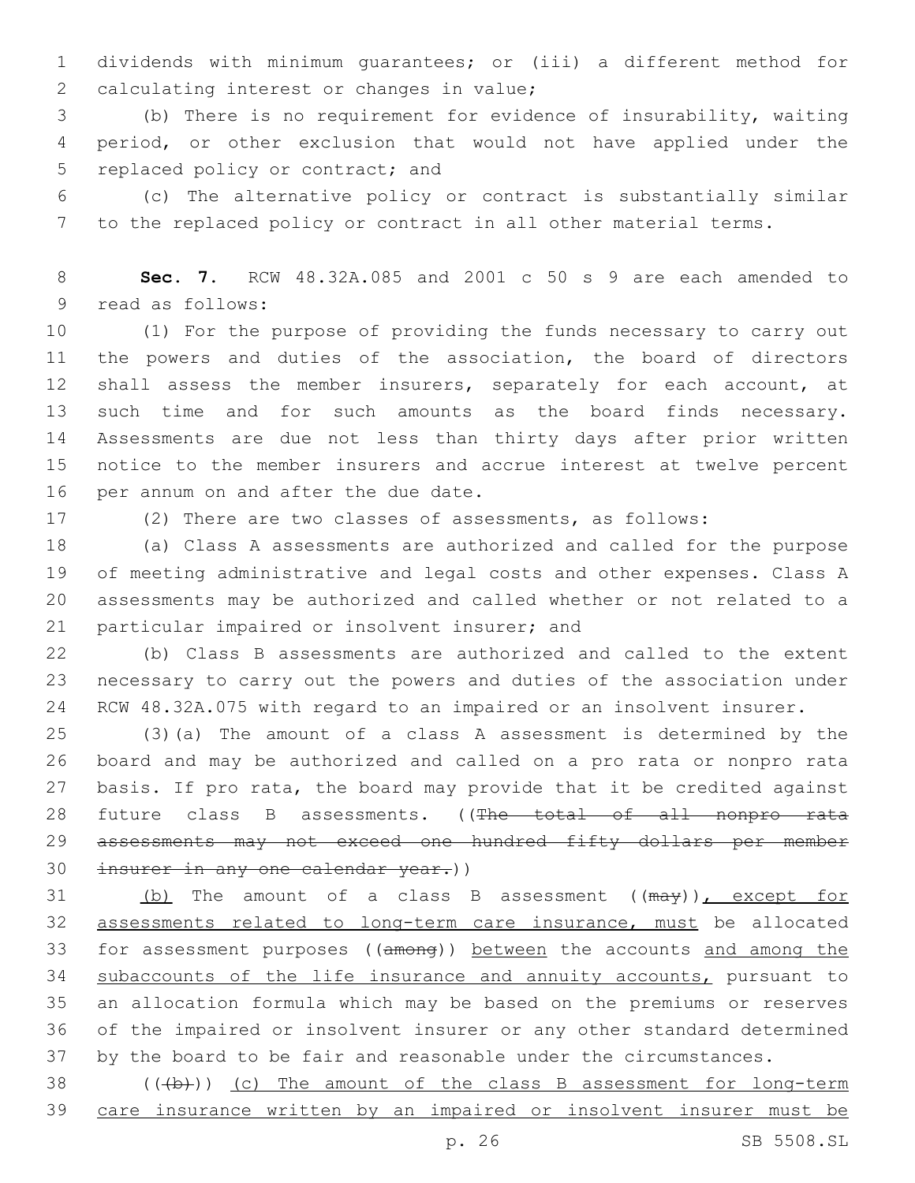dividends with minimum guarantees; or (iii) a different method for 2 calculating interest or changes in value;

 (b) There is no requirement for evidence of insurability, waiting period, or other exclusion that would not have applied under the 5 replaced policy or contract; and

 (c) The alternative policy or contract is substantially similar to the replaced policy or contract in all other material terms.

 **Sec. 7.** RCW 48.32A.085 and 2001 c 50 s 9 are each amended to 9 read as follows:

 (1) For the purpose of providing the funds necessary to carry out the powers and duties of the association, the board of directors shall assess the member insurers, separately for each account, at such time and for such amounts as the board finds necessary. Assessments are due not less than thirty days after prior written notice to the member insurers and accrue interest at twelve percent 16 per annum on and after the due date.

(2) There are two classes of assessments, as follows:

 (a) Class A assessments are authorized and called for the purpose of meeting administrative and legal costs and other expenses. Class A assessments may be authorized and called whether or not related to a 21 particular impaired or insolvent insurer; and

 (b) Class B assessments are authorized and called to the extent necessary to carry out the powers and duties of the association under RCW 48.32A.075 with regard to an impaired or an insolvent insurer.

 (3)(a) The amount of a class A assessment is determined by the board and may be authorized and called on a pro rata or nonpro rata basis. If pro rata, the board may provide that it be credited against 28 future class B assessments. ((The total of all nonpro rata 29 assessments may not exceed one hundred fifty dollars per member 30 insurer in any one calendar year.))

31 (b) The amount of a class B assessment ((may)), except for assessments related to long-term care insurance, must be allocated for assessment purposes ((among)) between the accounts and among the 34 subaccounts of the life insurance and annuity accounts, pursuant to an allocation formula which may be based on the premiums or reserves of the impaired or insolvent insurer or any other standard determined by the board to be fair and reasonable under the circumstances.

 ( $(\frac{1}{2})$ ) (c) The amount of the class B assessment for long-term care insurance written by an impaired or insolvent insurer must be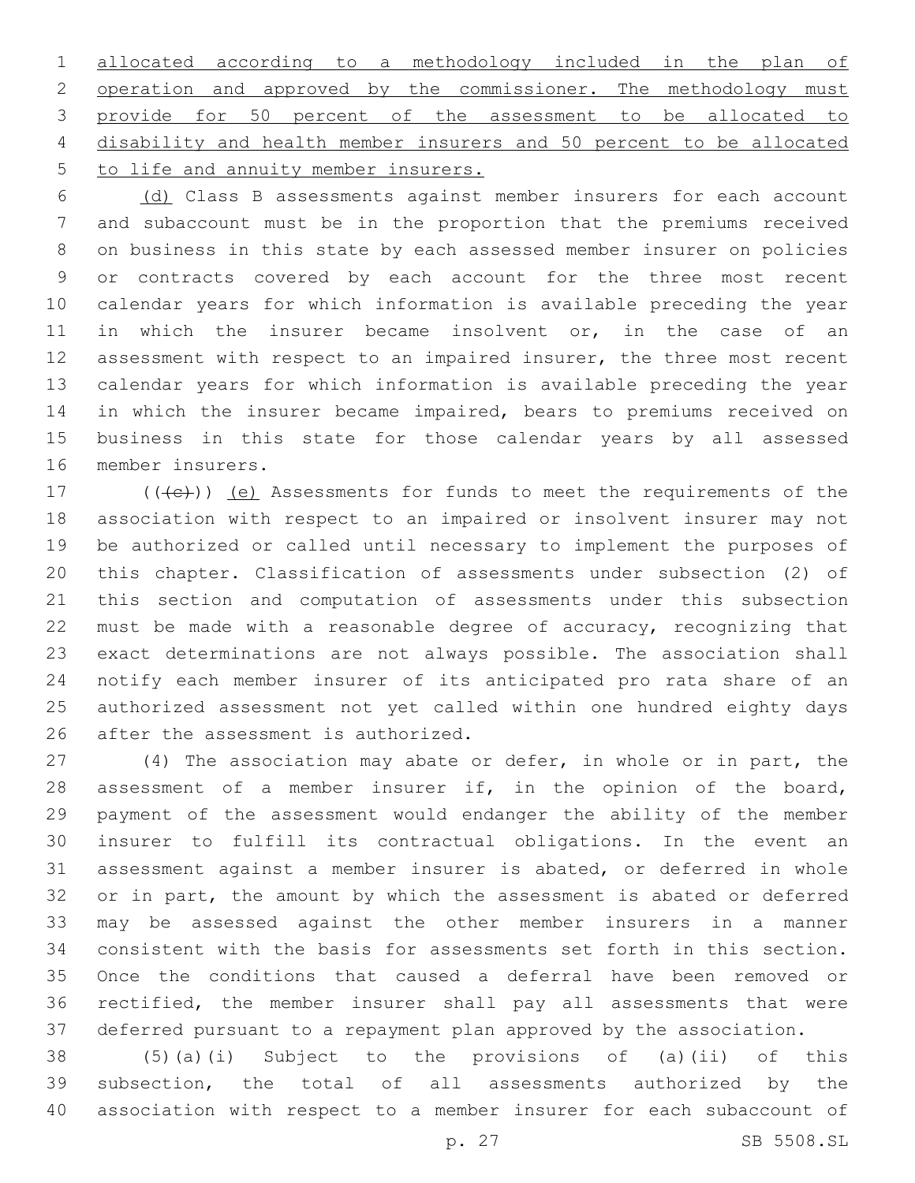allocated according to a methodology included in the plan of 2 operation and approved by the commissioner. The methodology must provide for 50 percent of the assessment to be allocated to disability and health member insurers and 50 percent to be allocated 5 to life and annuity member insurers.

 (d) Class B assessments against member insurers for each account and subaccount must be in the proportion that the premiums received on business in this state by each assessed member insurer on policies or contracts covered by each account for the three most recent calendar years for which information is available preceding the year in which the insurer became insolvent or, in the case of an 12 assessment with respect to an impaired insurer, the three most recent calendar years for which information is available preceding the year in which the insurer became impaired, bears to premiums received on business in this state for those calendar years by all assessed 16 member insurers.

 $(17$  ( $(\overline{\left\langle e\right\rangle})$ ) (e) Assessments for funds to meet the requirements of the association with respect to an impaired or insolvent insurer may not be authorized or called until necessary to implement the purposes of this chapter. Classification of assessments under subsection (2) of this section and computation of assessments under this subsection must be made with a reasonable degree of accuracy, recognizing that exact determinations are not always possible. The association shall notify each member insurer of its anticipated pro rata share of an authorized assessment not yet called within one hundred eighty days 26 after the assessment is authorized.

 (4) The association may abate or defer, in whole or in part, the assessment of a member insurer if, in the opinion of the board, payment of the assessment would endanger the ability of the member insurer to fulfill its contractual obligations. In the event an assessment against a member insurer is abated, or deferred in whole or in part, the amount by which the assessment is abated or deferred may be assessed against the other member insurers in a manner consistent with the basis for assessments set forth in this section. Once the conditions that caused a deferral have been removed or rectified, the member insurer shall pay all assessments that were deferred pursuant to a repayment plan approved by the association.

 (5)(a)(i) Subject to the provisions of (a)(ii) of this subsection, the total of all assessments authorized by the association with respect to a member insurer for each subaccount of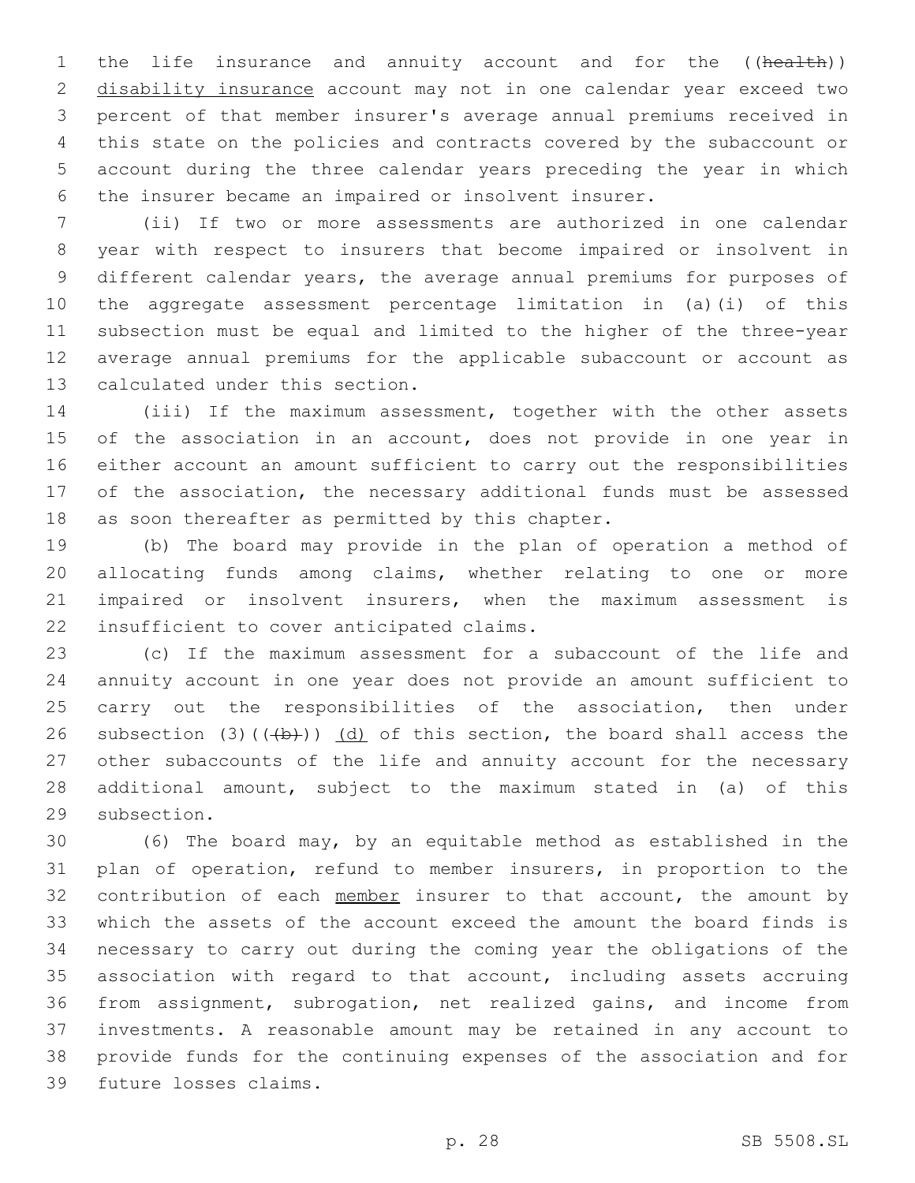1 the life insurance and annuity account and for the ((health)) disability insurance account may not in one calendar year exceed two percent of that member insurer's average annual premiums received in this state on the policies and contracts covered by the subaccount or account during the three calendar years preceding the year in which the insurer became an impaired or insolvent insurer.

 (ii) If two or more assessments are authorized in one calendar year with respect to insurers that become impaired or insolvent in different calendar years, the average annual premiums for purposes of the aggregate assessment percentage limitation in (a)(i) of this subsection must be equal and limited to the higher of the three-year average annual premiums for the applicable subaccount or account as 13 calculated under this section.

 (iii) If the maximum assessment, together with the other assets 15 of the association in an account, does not provide in one year in either account an amount sufficient to carry out the responsibilities of the association, the necessary additional funds must be assessed 18 as soon thereafter as permitted by this chapter.

 (b) The board may provide in the plan of operation a method of allocating funds among claims, whether relating to one or more impaired or insolvent insurers, when the maximum assessment is 22 insufficient to cover anticipated claims.

 (c) If the maximum assessment for a subaccount of the life and annuity account in one year does not provide an amount sufficient to 25 carry out the responsibilities of the association, then under 26 subsection (3)( $(\frac{1}{2})$ ) (d) of this section, the board shall access the other subaccounts of the life and annuity account for the necessary additional amount, subject to the maximum stated in (a) of this 29 subsection.

 (6) The board may, by an equitable method as established in the plan of operation, refund to member insurers, in proportion to the 32 contribution of each member insurer to that account, the amount by which the assets of the account exceed the amount the board finds is necessary to carry out during the coming year the obligations of the association with regard to that account, including assets accruing from assignment, subrogation, net realized gains, and income from investments. A reasonable amount may be retained in any account to provide funds for the continuing expenses of the association and for 39 future losses claims.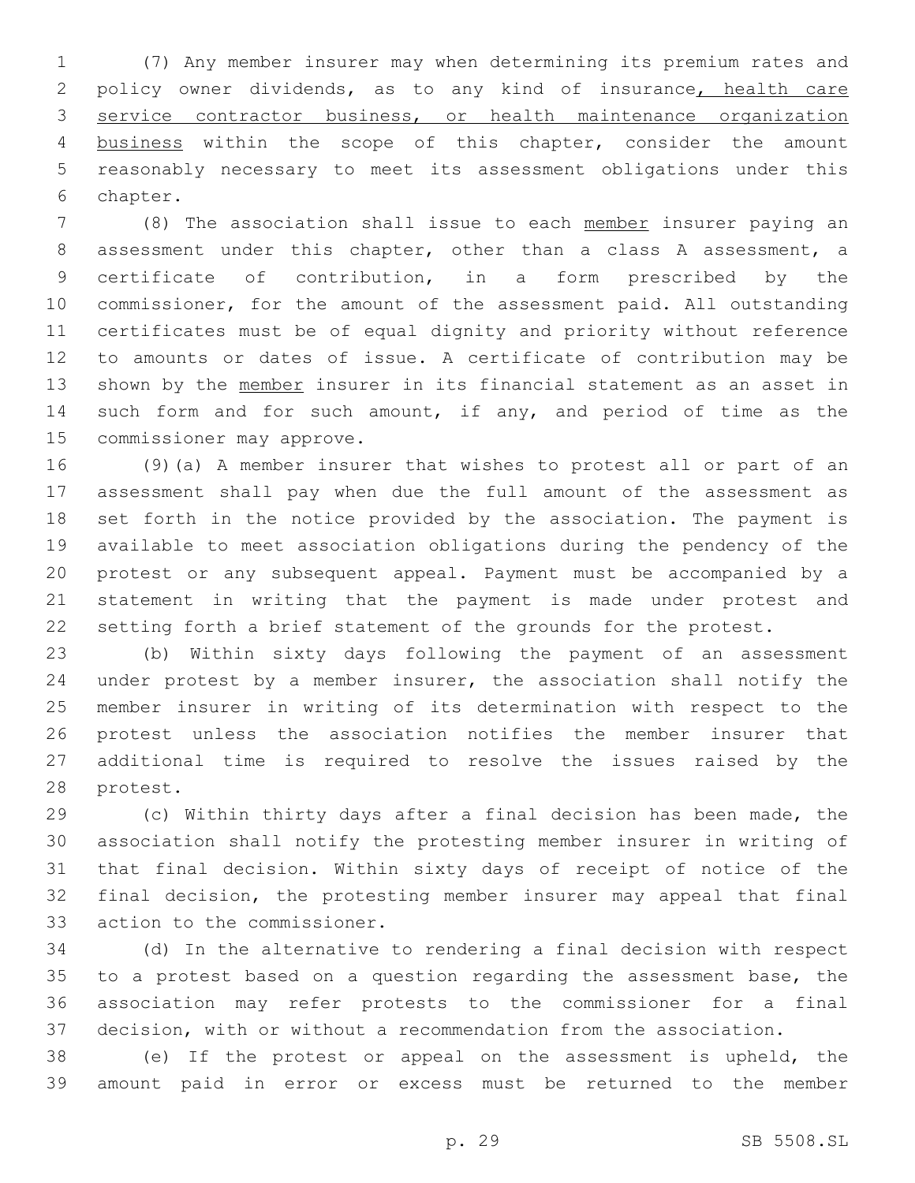(7) Any member insurer may when determining its premium rates and policy owner dividends, as to any kind of insurance, health care service contractor business, or health maintenance organization business within the scope of this chapter, consider the amount reasonably necessary to meet its assessment obligations under this 6 chapter.

 (8) The association shall issue to each member insurer paying an assessment under this chapter, other than a class A assessment, a certificate of contribution, in a form prescribed by the commissioner, for the amount of the assessment paid. All outstanding certificates must be of equal dignity and priority without reference to amounts or dates of issue. A certificate of contribution may be 13 shown by the member insurer in its financial statement as an asset in such form and for such amount, if any, and period of time as the 15 commissioner may approve.

 (9)(a) A member insurer that wishes to protest all or part of an assessment shall pay when due the full amount of the assessment as set forth in the notice provided by the association. The payment is available to meet association obligations during the pendency of the protest or any subsequent appeal. Payment must be accompanied by a statement in writing that the payment is made under protest and setting forth a brief statement of the grounds for the protest.

 (b) Within sixty days following the payment of an assessment under protest by a member insurer, the association shall notify the member insurer in writing of its determination with respect to the protest unless the association notifies the member insurer that additional time is required to resolve the issues raised by the 28 protest.

 (c) Within thirty days after a final decision has been made, the association shall notify the protesting member insurer in writing of that final decision. Within sixty days of receipt of notice of the final decision, the protesting member insurer may appeal that final 33 action to the commissioner.

 (d) In the alternative to rendering a final decision with respect to a protest based on a question regarding the assessment base, the association may refer protests to the commissioner for a final decision, with or without a recommendation from the association.

 (e) If the protest or appeal on the assessment is upheld, the amount paid in error or excess must be returned to the member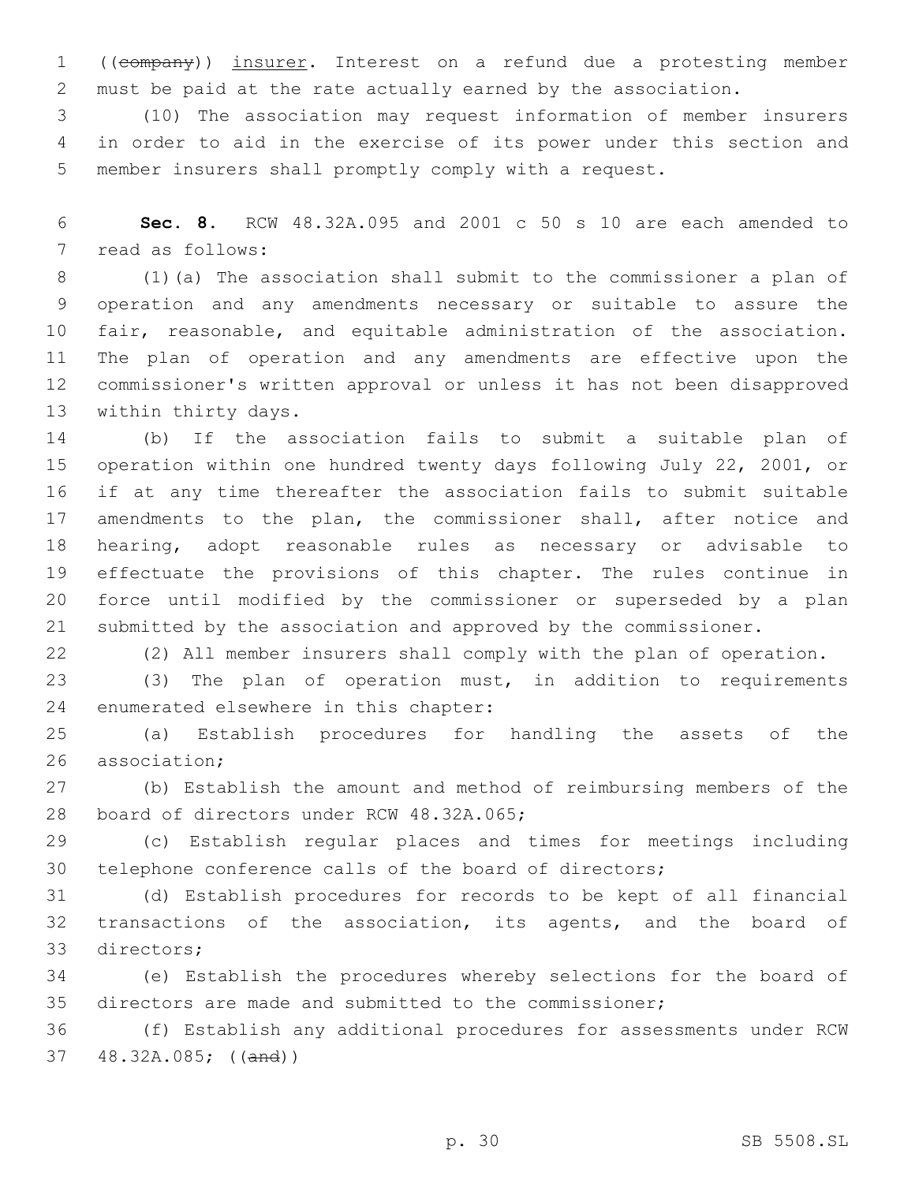((company)) insurer. Interest on a refund due a protesting member must be paid at the rate actually earned by the association.

 (10) The association may request information of member insurers in order to aid in the exercise of its power under this section and member insurers shall promptly comply with a request.

 **Sec. 8.** RCW 48.32A.095 and 2001 c 50 s 10 are each amended to 7 read as follows:

 (1)(a) The association shall submit to the commissioner a plan of operation and any amendments necessary or suitable to assure the fair, reasonable, and equitable administration of the association. The plan of operation and any amendments are effective upon the commissioner's written approval or unless it has not been disapproved 13 within thirty days.

 (b) If the association fails to submit a suitable plan of operation within one hundred twenty days following July 22, 2001, or if at any time thereafter the association fails to submit suitable amendments to the plan, the commissioner shall, after notice and hearing, adopt reasonable rules as necessary or advisable to effectuate the provisions of this chapter. The rules continue in force until modified by the commissioner or superseded by a plan submitted by the association and approved by the commissioner.

(2) All member insurers shall comply with the plan of operation.

 (3) The plan of operation must, in addition to requirements 24 enumerated elsewhere in this chapter:

 (a) Establish procedures for handling the assets of the 26 association;

 (b) Establish the amount and method of reimbursing members of the 28 board of directors under RCW 48.32A.065;

 (c) Establish regular places and times for meetings including telephone conference calls of the board of directors;

 (d) Establish procedures for records to be kept of all financial transactions of the association, its agents, and the board of 33 directors;

 (e) Establish the procedures whereby selections for the board of directors are made and submitted to the commissioner;

 (f) Establish any additional procedures for assessments under RCW 48.32A.085; ((and))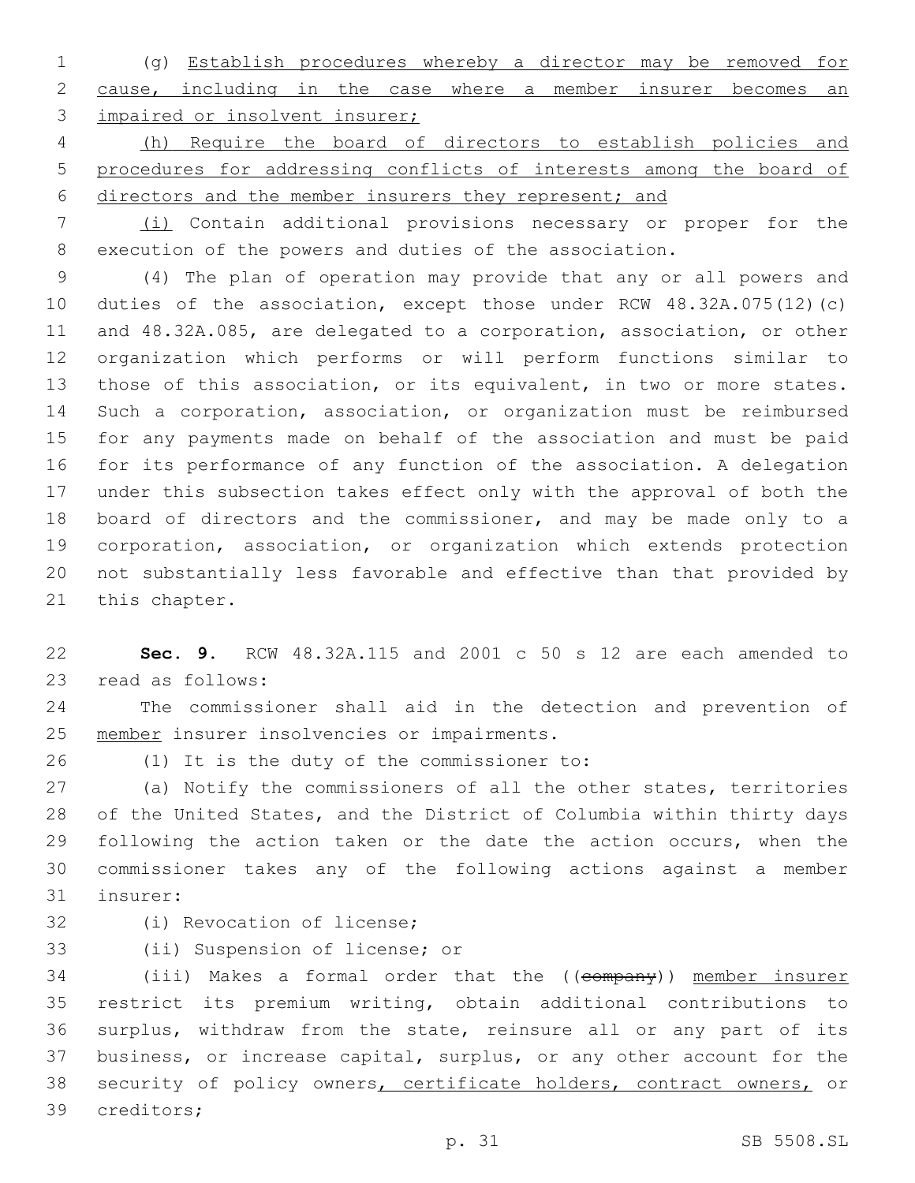(g) Establish procedures whereby a director may be removed for cause, including in the case where a member insurer becomes an 3 impaired or insolvent insurer;

 (h) Require the board of directors to establish policies and procedures for addressing conflicts of interests among the board of directors and the member insurers they represent; and

 (i) Contain additional provisions necessary or proper for the execution of the powers and duties of the association.

 (4) The plan of operation may provide that any or all powers and duties of the association, except those under RCW 48.32A.075(12)(c) and 48.32A.085, are delegated to a corporation, association, or other organization which performs or will perform functions similar to those of this association, or its equivalent, in two or more states. Such a corporation, association, or organization must be reimbursed for any payments made on behalf of the association and must be paid for its performance of any function of the association. A delegation under this subsection takes effect only with the approval of both the board of directors and the commissioner, and may be made only to a corporation, association, or organization which extends protection not substantially less favorable and effective than that provided by 21 this chapter.

 **Sec. 9.** RCW 48.32A.115 and 2001 c 50 s 12 are each amended to 23 read as follows:

 The commissioner shall aid in the detection and prevention of 25 member insurer insolvencies or impairments.

(1) It is the duty of the commissioner to:26

 (a) Notify the commissioners of all the other states, territories of the United States, and the District of Columbia within thirty days 29 following the action taken or the date the action occurs, when the commissioner takes any of the following actions against a member 31 insurer:

32 (i) Revocation of license;

33 (ii) Suspension of license; or

34 (iii) Makes a formal order that the ((company)) member insurer restrict its premium writing, obtain additional contributions to surplus, withdraw from the state, reinsure all or any part of its business, or increase capital, surplus, or any other account for the 38 security of policy owners, certificate holders, contract owners, or 39 creditors;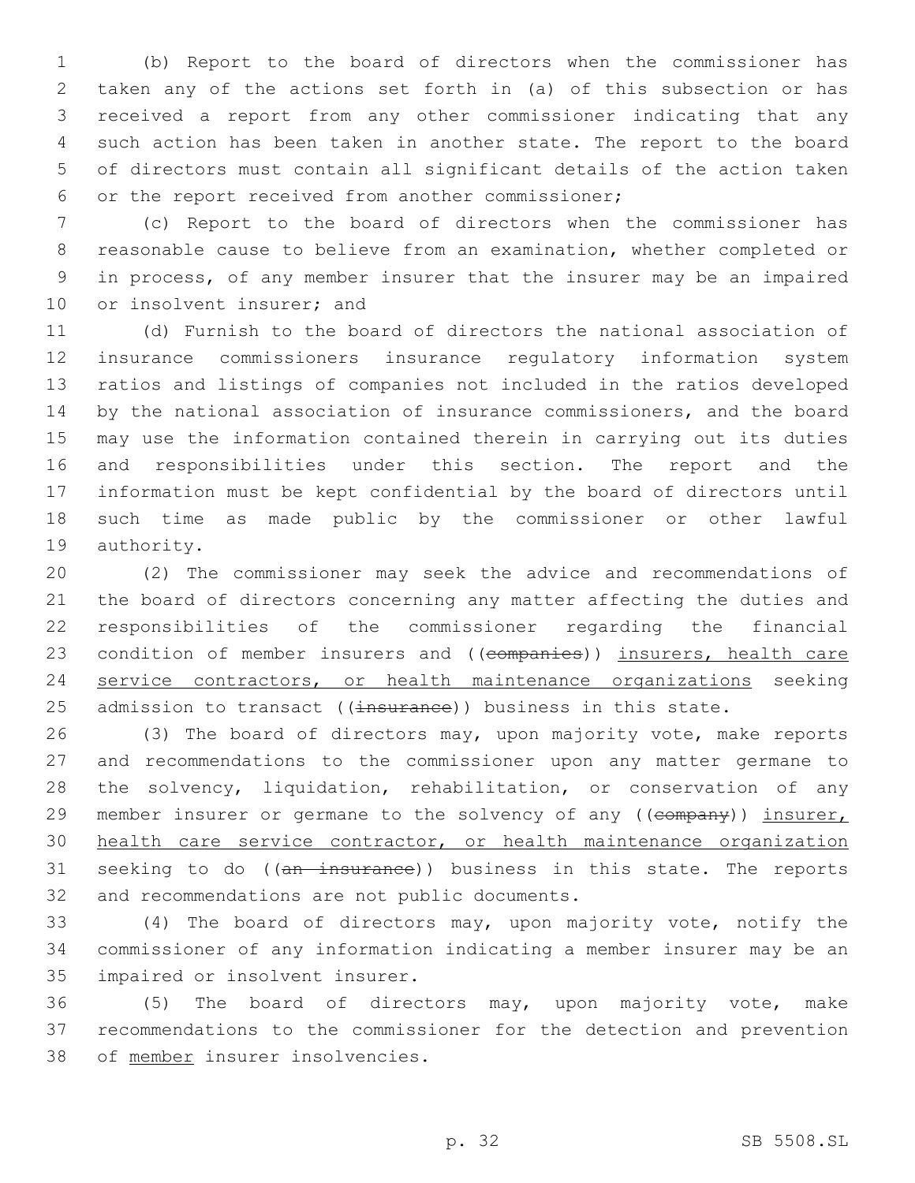(b) Report to the board of directors when the commissioner has taken any of the actions set forth in (a) of this subsection or has received a report from any other commissioner indicating that any such action has been taken in another state. The report to the board of directors must contain all significant details of the action taken or the report received from another commissioner;6

 (c) Report to the board of directors when the commissioner has reasonable cause to believe from an examination, whether completed or in process, of any member insurer that the insurer may be an impaired 10 or insolvent insurer; and

 (d) Furnish to the board of directors the national association of insurance commissioners insurance regulatory information system ratios and listings of companies not included in the ratios developed by the national association of insurance commissioners, and the board may use the information contained therein in carrying out its duties and responsibilities under this section. The report and the information must be kept confidential by the board of directors until such time as made public by the commissioner or other lawful 19 authority.

 (2) The commissioner may seek the advice and recommendations of the board of directors concerning any matter affecting the duties and responsibilities of the commissioner regarding the financial 23 condition of member insurers and ((companies)) insurers, health care service contractors, or health maintenance organizations seeking 25 admission to transact ((insurance)) business in this state.

 (3) The board of directors may, upon majority vote, make reports and recommendations to the commissioner upon any matter germane to the solvency, liquidation, rehabilitation, or conservation of any 29 member insurer or germane to the solvency of any ((company)) insurer, health care service contractor, or health maintenance organization 31 seeking to do ((an insurance)) business in this state. The reports 32 and recommendations are not public documents.

 (4) The board of directors may, upon majority vote, notify the commissioner of any information indicating a member insurer may be an 35 impaired or insolvent insurer.

 (5) The board of directors may, upon majority vote, make recommendations to the commissioner for the detection and prevention 38 of member insurer insolvencies.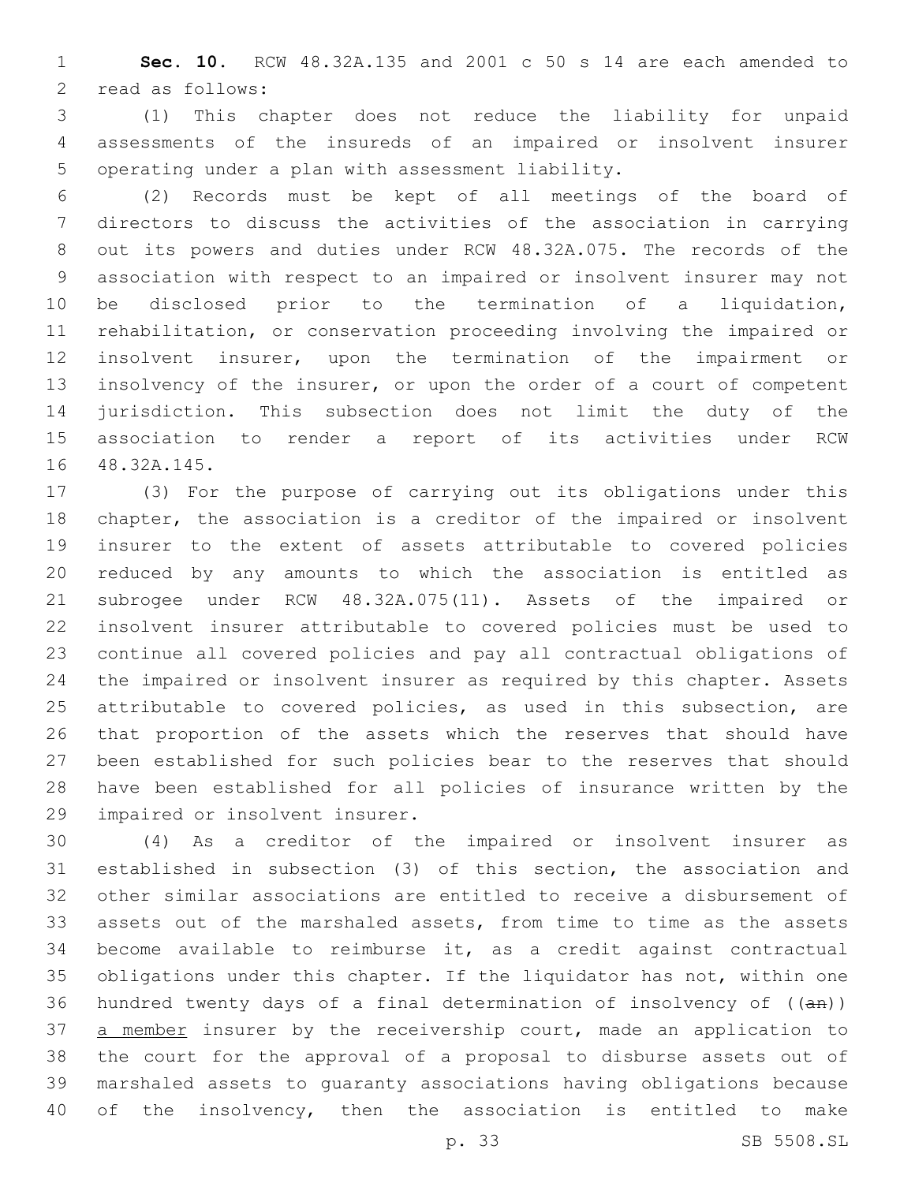**Sec. 10.** RCW 48.32A.135 and 2001 c 50 s 14 are each amended to 2 read as follows:

 (1) This chapter does not reduce the liability for unpaid assessments of the insureds of an impaired or insolvent insurer 5 operating under a plan with assessment liability.

 (2) Records must be kept of all meetings of the board of directors to discuss the activities of the association in carrying out its powers and duties under RCW 48.32A.075. The records of the association with respect to an impaired or insolvent insurer may not be disclosed prior to the termination of a liquidation, rehabilitation, or conservation proceeding involving the impaired or insolvent insurer, upon the termination of the impairment or insolvency of the insurer, or upon the order of a court of competent jurisdiction. This subsection does not limit the duty of the association to render a report of its activities under RCW 16 48.32A.145.

 (3) For the purpose of carrying out its obligations under this chapter, the association is a creditor of the impaired or insolvent insurer to the extent of assets attributable to covered policies reduced by any amounts to which the association is entitled as subrogee under RCW 48.32A.075(11). Assets of the impaired or insolvent insurer attributable to covered policies must be used to continue all covered policies and pay all contractual obligations of the impaired or insolvent insurer as required by this chapter. Assets attributable to covered policies, as used in this subsection, are that proportion of the assets which the reserves that should have been established for such policies bear to the reserves that should have been established for all policies of insurance written by the 29 impaired or insolvent insurer.

 (4) As a creditor of the impaired or insolvent insurer as established in subsection (3) of this section, the association and other similar associations are entitled to receive a disbursement of assets out of the marshaled assets, from time to time as the assets become available to reimburse it, as a credit against contractual obligations under this chapter. If the liquidator has not, within one 36 hundred twenty days of a final determination of insolvency of  $((an))$ 37 a member insurer by the receivership court, made an application to the court for the approval of a proposal to disburse assets out of marshaled assets to guaranty associations having obligations because of the insolvency, then the association is entitled to make

p. 33 SB 5508.SL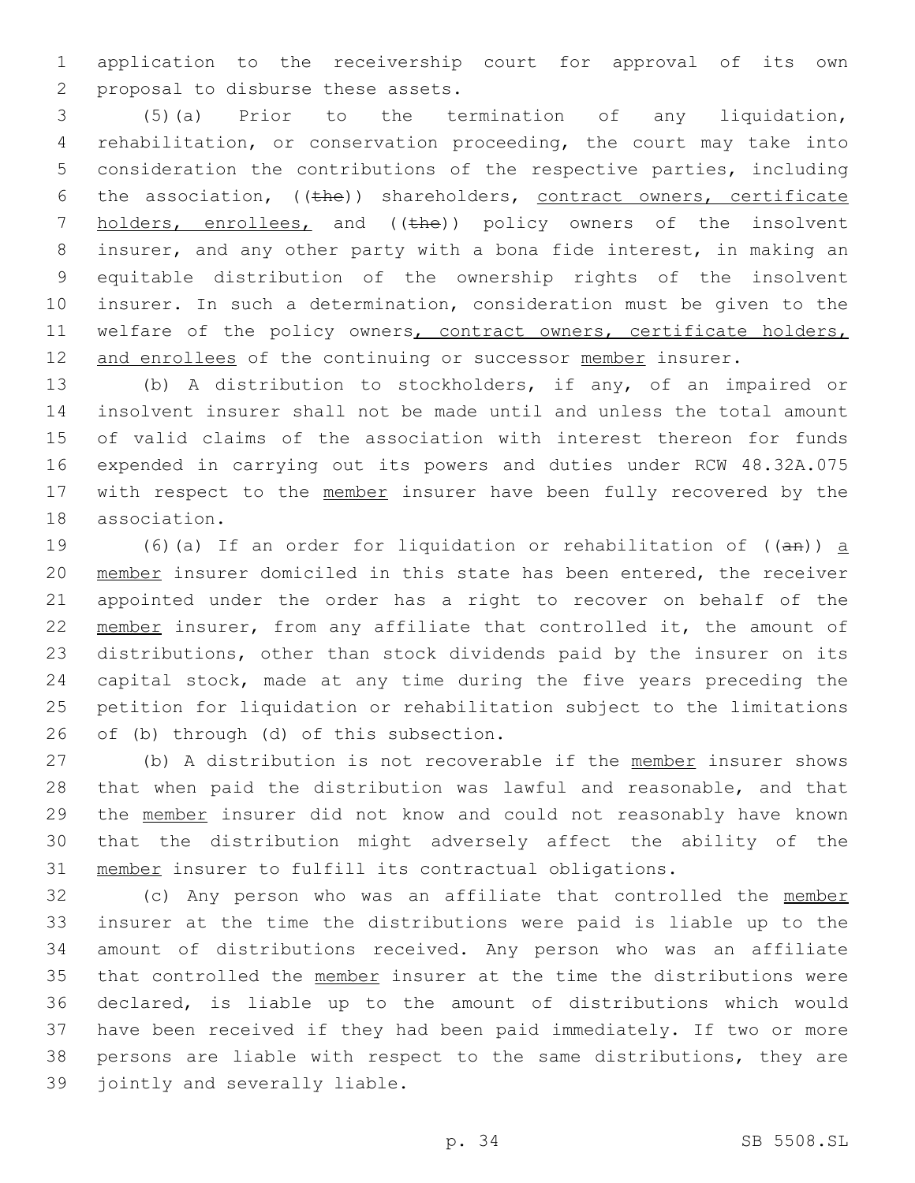application to the receivership court for approval of its own 2 proposal to disburse these assets.

 (5)(a) Prior to the termination of any liquidation, rehabilitation, or conservation proceeding, the court may take into consideration the contributions of the respective parties, including 6 the association,  $((the)$ ) shareholders, contract owners, certificate 7 holders, enrollees, and ((the)) policy owners of the insolvent insurer, and any other party with a bona fide interest, in making an equitable distribution of the ownership rights of the insolvent insurer. In such a determination, consideration must be given to the 11 welfare of the policy owners, contract owners, certificate holders, 12 and enrollees of the continuing or successor member insurer.

 (b) A distribution to stockholders, if any, of an impaired or insolvent insurer shall not be made until and unless the total amount of valid claims of the association with interest thereon for funds expended in carrying out its powers and duties under RCW 48.32A.075 17 with respect to the member insurer have been fully recovered by the 18 association.

19 (6)(a) If an order for liquidation or rehabilitation of  $((an))$  a member insurer domiciled in this state has been entered, the receiver appointed under the order has a right to recover on behalf of the 22 member insurer, from any affiliate that controlled it, the amount of distributions, other than stock dividends paid by the insurer on its capital stock, made at any time during the five years preceding the petition for liquidation or rehabilitation subject to the limitations 26 of (b) through (d) of this subsection.

27 (b) A distribution is not recoverable if the member insurer shows that when paid the distribution was lawful and reasonable, and that the member insurer did not know and could not reasonably have known that the distribution might adversely affect the ability of the member insurer to fulfill its contractual obligations.

 (c) Any person who was an affiliate that controlled the member insurer at the time the distributions were paid is liable up to the amount of distributions received. Any person who was an affiliate 35 that controlled the member insurer at the time the distributions were declared, is liable up to the amount of distributions which would have been received if they had been paid immediately. If two or more persons are liable with respect to the same distributions, they are 39 jointly and severally liable.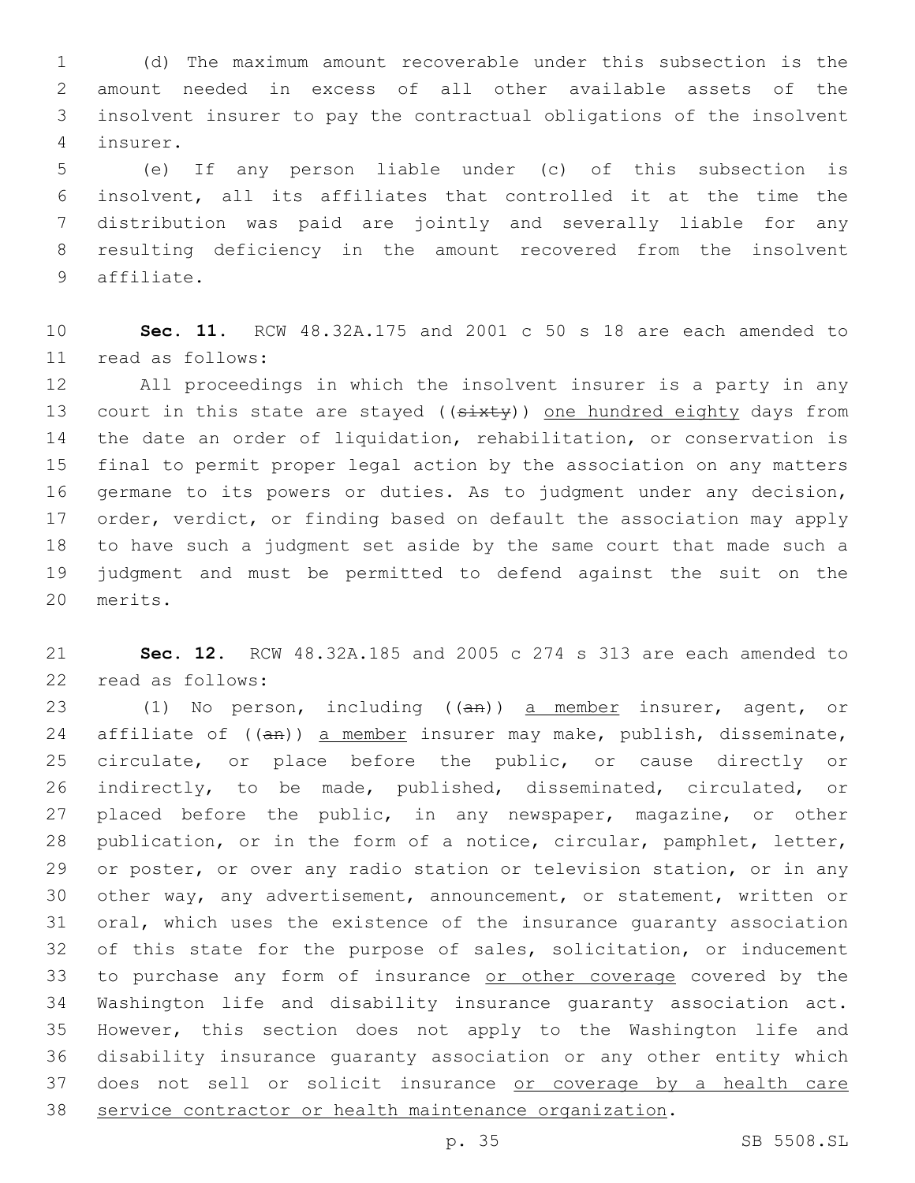(d) The maximum amount recoverable under this subsection is the amount needed in excess of all other available assets of the insolvent insurer to pay the contractual obligations of the insolvent insurer.4

 (e) If any person liable under (c) of this subsection is insolvent, all its affiliates that controlled it at the time the distribution was paid are jointly and severally liable for any resulting deficiency in the amount recovered from the insolvent 9 affiliate.

 **Sec. 11.** RCW 48.32A.175 and 2001 c 50 s 18 are each amended to read as follows:11

 All proceedings in which the insolvent insurer is a party in any 13 court in this state are stayed ((sixty)) one hundred eighty days from the date an order of liquidation, rehabilitation, or conservation is final to permit proper legal action by the association on any matters germane to its powers or duties. As to judgment under any decision, order, verdict, or finding based on default the association may apply to have such a judgment set aside by the same court that made such a judgment and must be permitted to defend against the suit on the 20 merits.

 **Sec. 12.** RCW 48.32A.185 and 2005 c 274 s 313 are each amended to 22 read as follows:

23 (1) No person, including ((an)) a member insurer, agent, or 24 affiliate of ((an)) a member insurer may make, publish, disseminate, circulate, or place before the public, or cause directly or indirectly, to be made, published, disseminated, circulated, or placed before the public, in any newspaper, magazine, or other publication, or in the form of a notice, circular, pamphlet, letter, or poster, or over any radio station or television station, or in any other way, any advertisement, announcement, or statement, written or oral, which uses the existence of the insurance guaranty association of this state for the purpose of sales, solicitation, or inducement 33 to purchase any form of insurance or other coverage covered by the Washington life and disability insurance guaranty association act. However, this section does not apply to the Washington life and disability insurance guaranty association or any other entity which 37 does not sell or solicit insurance or coverage by a health care service contractor or health maintenance organization.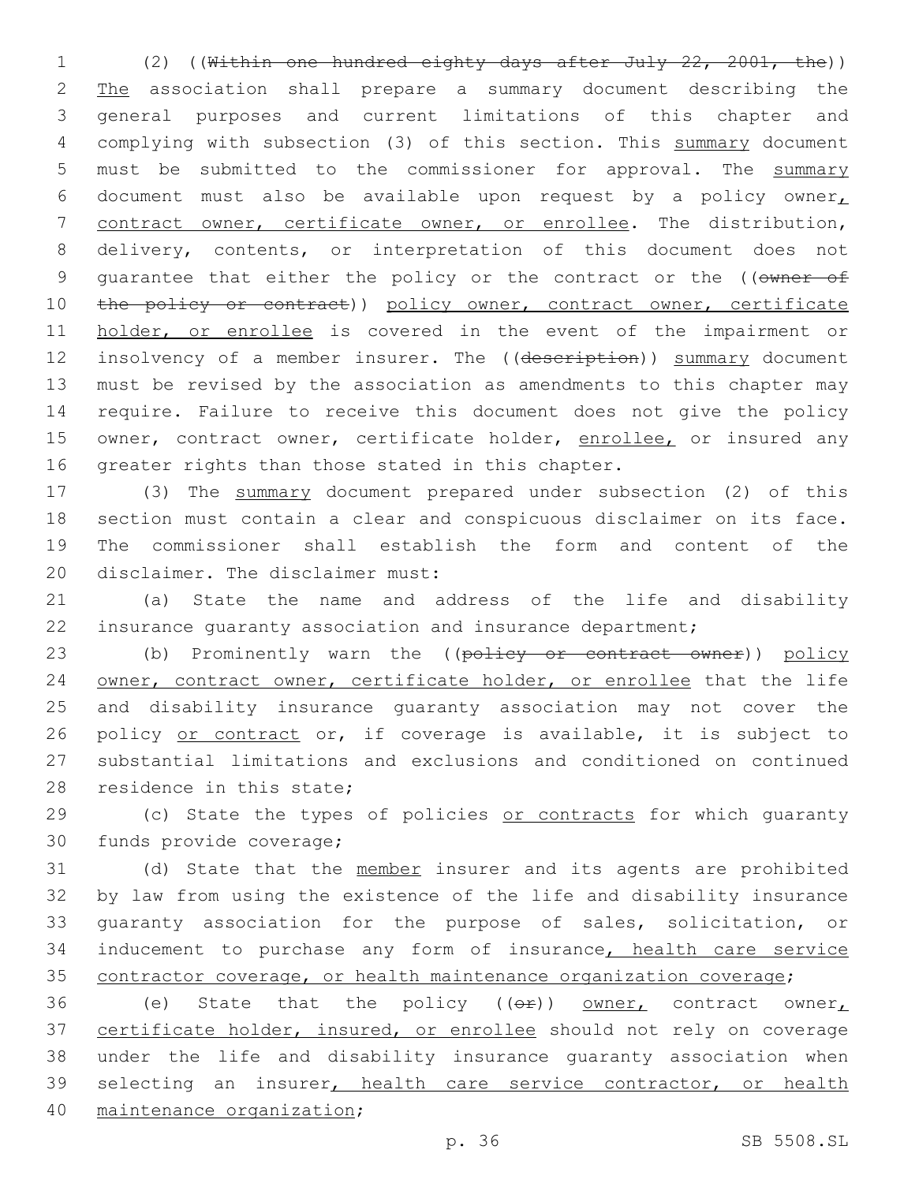1 (2) ((Within one hundred eighty days after July 22, 2001, the)) 2 The association shall prepare a summary document describing the 3 general purposes and current limitations of this chapter and 4 complying with subsection (3) of this section. This summary document 5 must be submitted to the commissioner for approval. The summary 6 document must also be available upon request by a policy owner 7 contract owner, certificate owner, or enrollee. The distribution, 8 delivery, contents, or interpretation of this document does not 9 quarantee that either the policy or the contract or the ((owner of 10 the policy or contract)) policy owner, contract owner, certificate 11 holder, or enrollee is covered in the event of the impairment or 12 insolvency of a member insurer. The ((description)) summary document 13 must be revised by the association as amendments to this chapter may 14 require. Failure to receive this document does not give the policy 15 owner, contract owner, certificate holder, enrollee, or insured any 16 greater rights than those stated in this chapter.

 (3) The summary document prepared under subsection (2) of this section must contain a clear and conspicuous disclaimer on its face. The commissioner shall establish the form and content of the 20 disclaimer. The disclaimer must:

21 (a) State the name and address of the life and disability 22 insurance guaranty association and insurance department;

23 (b) Prominently warn the ((policy or contract owner)) policy 24 owner, contract owner, certificate holder, or enrollee that the life 25 and disability insurance guaranty association may not cover the 26 policy or contract or, if coverage is available, it is subject to 27 substantial limitations and exclusions and conditioned on continued 28 residence in this state;

29 (c) State the types of policies or contracts for which quaranty 30 funds provide coverage;

31 (d) State that the member insurer and its agents are prohibited 32 by law from using the existence of the life and disability insurance 33 guaranty association for the purpose of sales, solicitation, or 34 inducement to purchase any form of insurance, health care service 35 contractor coverage, or health maintenance organization coverage;

36 (e) State that the policy  $(6 + e)$  owner, contract owner, 37 certificate holder, insured, or enrollee should not rely on coverage 38 under the life and disability insurance guaranty association when 39 selecting an insurer, health care service contractor, or health 40 maintenance organization;